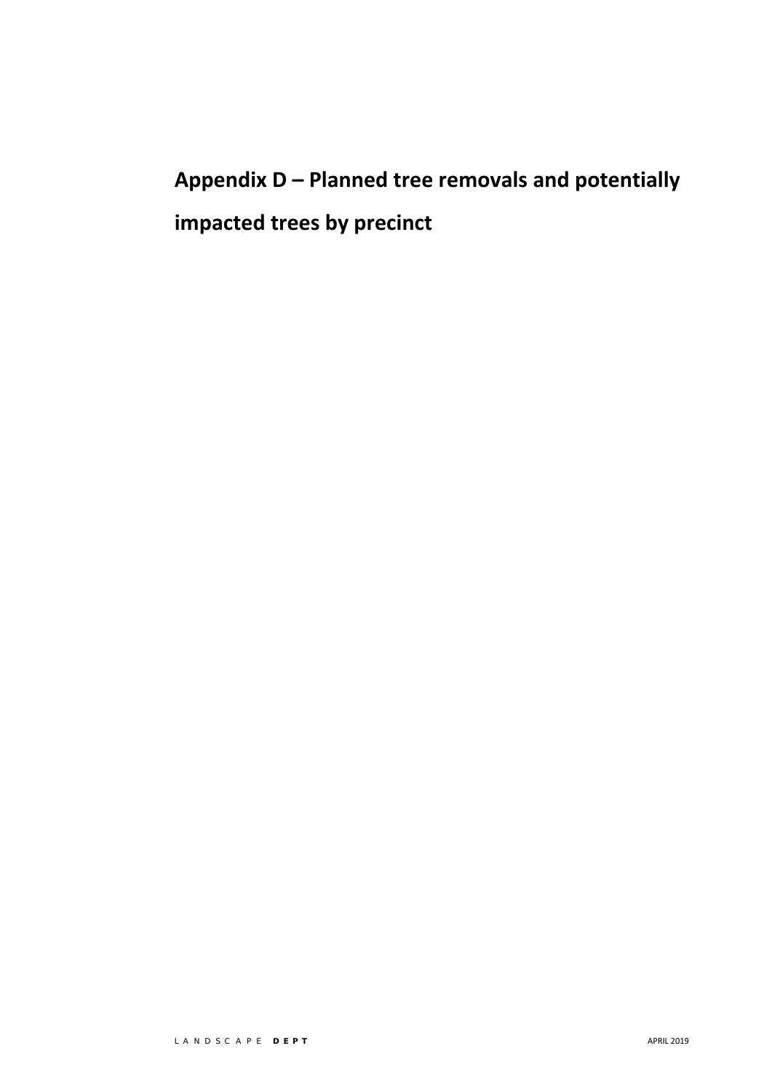# **Appendix D – Planned tree removals and potentially impacted trees by precinct**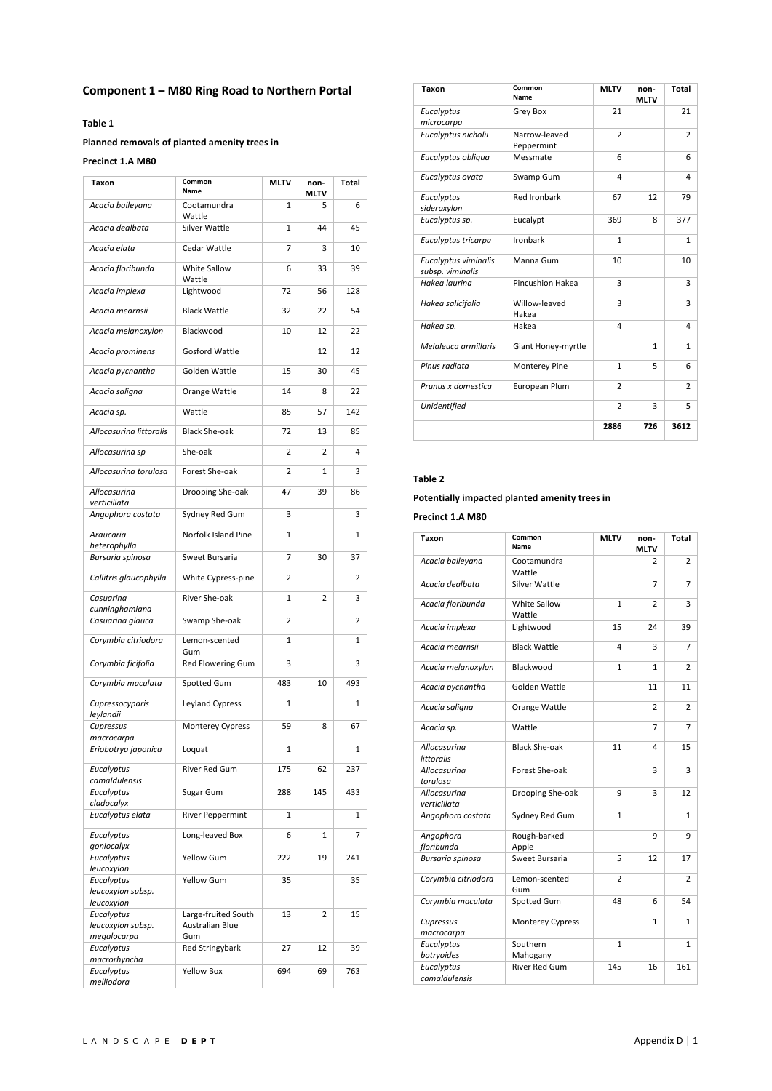# **Component 1 – M80 Ring Road to Northern Portal**

### **Table 1**

# **Planned removals of planted amenity trees in**

#### **Precinct 1.A M80**

| Common<br>Name          | <b>MLTV</b>                                 | non-<br>MLTV   | <b>Total</b> |
|-------------------------|---------------------------------------------|----------------|--------------|
| Cootamundra<br>Wattle   | 1                                           | 5              | 6            |
| Silver Wattle           | 1                                           | 44             | 45           |
| Cedar Wattle            | 7                                           | 3              | 10           |
| White Sallow<br>Wattle  | 6                                           | 33             | 39           |
| Lightwood               | 72                                          | 56             | 128          |
| <b>Black Wattle</b>     | 32                                          | 22             | 54           |
| Blackwood               | 10                                          | 12             | 22           |
| <b>Gosford Wattle</b>   |                                             | 12             | 12           |
| Golden Wattle           | 15                                          | 30             | 45           |
| Orange Wattle           | 14                                          | 8              | 22           |
| Wattle                  | 85                                          | 57             | 142          |
| <b>Black She-oak</b>    | 72                                          | 13             | 85           |
| She-oak                 | 2                                           | 2              | 4            |
| Forest She-oak          | 2                                           | 1              | 3            |
| Drooping She-oak        | 47                                          | 39             | 86           |
| Sydney Red Gum          | 3                                           |                | 3            |
| Norfolk Island Pine     | 1                                           |                | 1            |
| Sweet Bursaria          | 7                                           | 30             | 37           |
| White Cypress-pine      | 2                                           |                | 2            |
| River She-oak           | 1                                           | $\overline{2}$ | 3            |
| Swamp She-oak           | 2                                           |                | 2            |
| Lemon-scented           | 1                                           |                | 1            |
| Red Flowering Gum       | 3                                           |                | 3            |
| Spotted Gum             | 483                                         | 10             | 493          |
| Leyland Cypress         | 1                                           |                | 1            |
| Monterey Cypress        | 59                                          | 8              | 67           |
| Loquat                  | 1                                           |                | 1            |
| River Red Gum           | 175                                         | 62             | 237          |
| Sugar Gum               | 288                                         | 145            | 433          |
| <b>River Peppermint</b> | 1                                           |                | 1            |
| Long-leaved Box         | 6                                           | 1              | 7            |
| Yellow Gum              | 222                                         | 19             | 241          |
|                         |                                             |                | 35           |
|                         |                                             |                |              |
| Large-fruited South     | 13                                          | 2              | 15           |
| Gum                     |                                             |                |              |
| <b>Red Stringybark</b>  | 27                                          | 12             | 39           |
| <b>Yellow Box</b>       | 694                                         | 69             | 763          |
|                         | Gum<br><b>Yellow Gum</b><br>Australian Blue | 35             |              |

| Taxon                                    | Common<br>Name              | <b>MLTV</b>    | non-<br><b>MLTV</b> | Total          |
|------------------------------------------|-----------------------------|----------------|---------------------|----------------|
| Eucalyptus<br>microcarpa                 | Grey Box                    | 21             |                     | 21             |
| Eucalyptus nicholii                      | Narrow-leaved<br>Peppermint | $\overline{2}$ |                     | $\overline{2}$ |
| Eucalyptus obliqua                       | Messmate                    | 6              |                     | 6              |
| Eucalyptus ovata                         | Swamp Gum                   | $\overline{a}$ |                     | 4              |
| Eucalyptus<br>sideroxylon                | <b>Red Ironbark</b>         | 67             | 12                  | 79             |
| Eucalyptus sp.                           | Eucalypt                    | 369            | 8                   | 377            |
| Eucalyptus tricarpa                      | Ironbark                    | $\mathbf{1}$   |                     | $\mathbf{1}$   |
| Eucalyptus viminalis<br>subsp. viminalis | Manna Gum                   | 10             |                     | 10             |
| Hakea laurina                            | Pincushion Hakea            | 3              |                     | 3              |
| Hakea salicifolia                        | Willow-leaved<br>Hakea      | 3              |                     | 3              |
| Hakea sp.                                | Hakea                       | 4              |                     | 4              |
| Melaleuca armillaris                     | Giant Honey-myrtle          |                | $\mathbf{1}$        | $\mathbf{1}$   |
| Pinus radiata                            | <b>Monterey Pine</b>        | $\mathbf{1}$   | 5                   | 6              |
| Prunus x domestica                       | European Plum               | $\overline{2}$ |                     | $\overline{2}$ |
| <b>Unidentified</b>                      |                             | $\overline{2}$ | 3                   | 5              |
|                                          |                             | 2886           | 726                 | 3612           |

## **Table 2**

#### **Potentially impacted planted amenity trees in**

# **Precinct 1.A M80**

| Taxon                        | Common<br>Name         | <b>MLTV</b>    | non-<br><b>MLTV</b> | <b>Total</b>   |
|------------------------------|------------------------|----------------|---------------------|----------------|
| Acacia baileyana             | Cootamundra<br>Wattle  |                | $\overline{2}$      | $\overline{2}$ |
| Acacia dealbata              | Silver Wattle          |                | $\overline{7}$      | 7              |
| Acacia floribunda            | White Sallow<br>Wattle | $\mathbf{1}$   | $\overline{2}$      | 3              |
| Acacia implexa               | Lightwood              | 15             | 24                  | 39             |
| Acacia mearnsii              | <b>Black Wattle</b>    | 4              | 3                   | 7              |
| Acacia melanoxylon           | Blackwood              | $\mathbf{1}$   | $\mathbf{1}$        | $\overline{2}$ |
| Acacia pycnantha             | Golden Wattle          |                | 11                  | 11             |
| Acacia saligna               | Orange Wattle          |                | $\overline{2}$      | $\mathcal{P}$  |
| Acacia sp.                   | Wattle                 |                | 7                   | 7              |
| Allocasurina<br>littoralis   | <b>Black She-oak</b>   | 11             | 4                   | 15             |
| Allocasurina<br>torulosa     | Forest She-oak         |                | 3                   | 3              |
| Allocasurina<br>verticillata | Drooping She-oak       | 9              | 3                   | 12             |
| Angophora costata            | Sydney Red Gum         | $\mathbf{1}$   |                     | 1              |
| Angophora<br>floribunda      | Rough-barked<br>Apple  |                | 9                   | 9              |
| Bursaria spinosa             | Sweet Bursaria         | 5              | 12                  | 17             |
| Corymbia citriodora          | Lemon-scented<br>Gum   | $\overline{2}$ |                     | $\mathcal{P}$  |
| Corymbia maculata            | Spotted Gum            | 48             | 6                   | 54             |
| Cupressus<br>macrocarpa      | Monterey Cypress       |                | $\mathbf{1}$        | $\mathbf{1}$   |
| Eucalyptus<br>botryoides     | Southern<br>Mahogany   | 1              |                     | $\mathbf{1}$   |
| Eucalyptus<br>camaldulensis  | <b>River Red Gum</b>   | 145            | 16                  | 161            |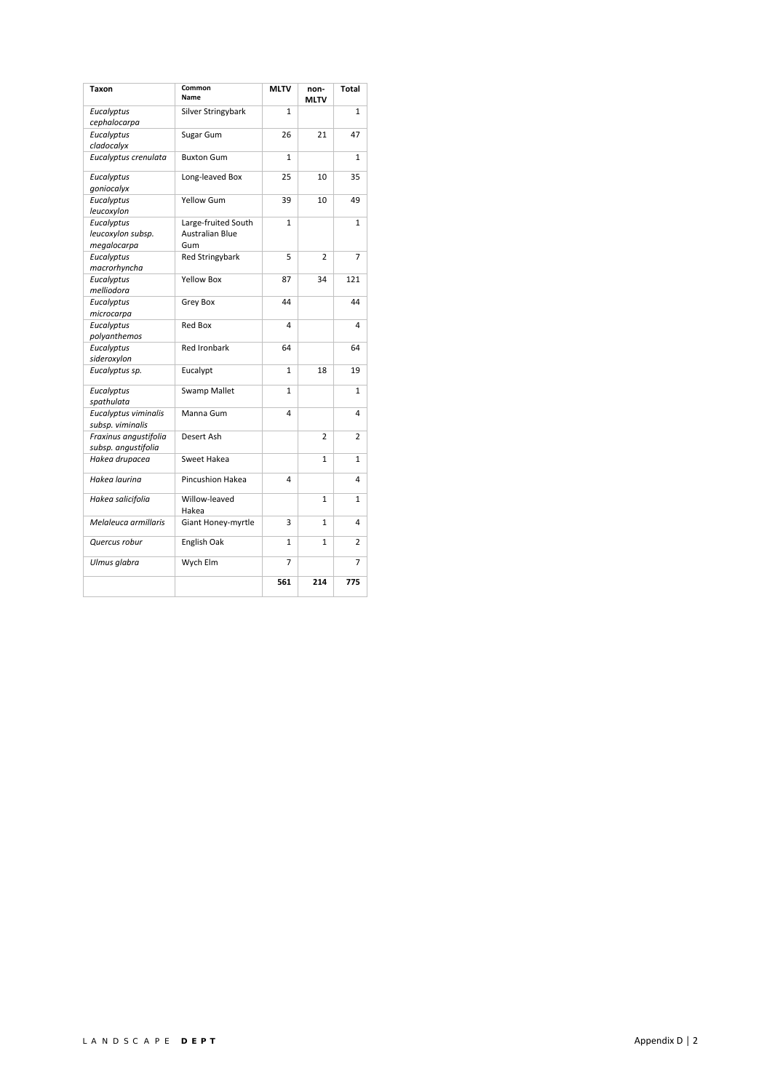| Taxon                                          | Common<br>Name                                | <b>MLTV</b>    | non-<br><b>MLTV</b> | Total        |
|------------------------------------------------|-----------------------------------------------|----------------|---------------------|--------------|
| Eucalyptus<br>cephalocarpa                     | Silver Stringybark                            | $\mathbf{1}$   |                     | $\mathbf{1}$ |
| Eucalyptus<br>cladocalyx                       | Sugar Gum                                     | 26             | 21                  | 47           |
| Eucalyptus crenulata                           | <b>Buxton Gum</b>                             | $\mathbf{1}$   |                     | $\mathbf{1}$ |
| Eucalyptus<br>goniocalyx                       | Long-leaved Box                               | 25             | 10                  | 35           |
| Eucalyptus<br>leucoxylon                       | <b>Yellow Gum</b>                             | 39             | 10                  | 49           |
| Eucalyptus<br>leucoxylon subsp.<br>megalocarpa | Large-fruited South<br>Australian Blue<br>Gum | $\mathbf{1}$   |                     | $\mathbf{1}$ |
| Eucalyptus<br>macrorhyncha                     | <b>Red Stringybark</b>                        | 5              | 2                   | 7            |
| Eucalyptus<br>melliodora                       | Yellow Box                                    | 87             | 34                  | 121          |
| Eucalyptus<br>microcarpa                       | Grey Box                                      | 44             |                     | 44           |
| Eucalyptus<br>polyanthemos                     | <b>Red Box</b>                                | 4              |                     | 4            |
| Eucalyptus<br>sideroxylon                      | <b>Red Ironbark</b>                           | 64             |                     | 64           |
| Eucalyptus sp.                                 | Eucalypt                                      | $\mathbf{1}$   | 18                  | 19           |
| Eucalyptus<br>spathulata                       | <b>Swamp Mallet</b>                           | $\mathbf{1}$   |                     | $\mathbf{1}$ |
| Eucalyptus viminalis<br>subsp. viminalis       | Manna Gum                                     | 4              |                     | 4            |
| Fraxinus angustifolia<br>subsp. angustifolia   | Desert Ash                                    |                | $\overline{2}$      | 2            |
| Hakea drupacea                                 | Sweet Hakea                                   |                | $\mathbf{1}$        | $\mathbf{1}$ |
| Hakea laurina                                  | Pincushion Hakea                              | 4              |                     | 4            |
| Hakea salicifolia                              | Willow-leaved<br>Hakea                        |                | $\mathbf{1}$        | 1            |
| Melaleuca armillaris                           | Giant Honey-myrtle                            | 3              | $\mathbf{1}$        | 4            |
| Quercus robur                                  | English Oak                                   | $\mathbf{1}$   | $\mathbf{1}$        | 2            |
| Ulmus glabra                                   | Wych Elm                                      | $\overline{7}$ |                     | 7            |
|                                                |                                               | 561            | 214                 | 775          |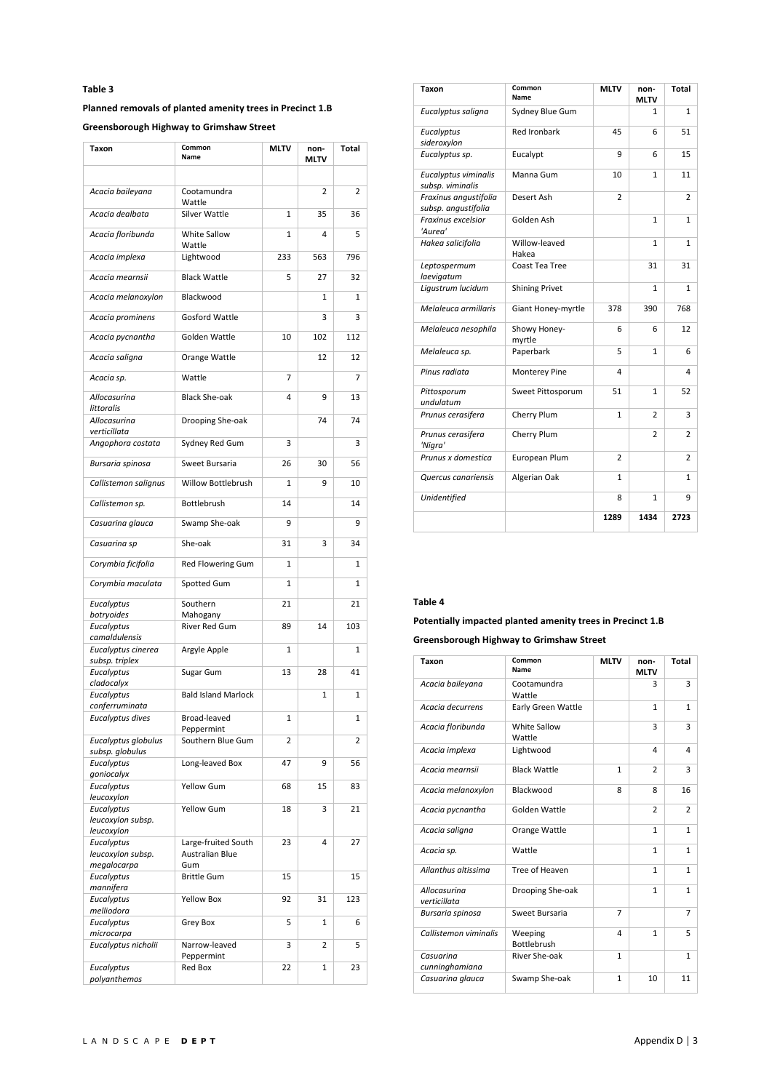# **Planned removals of planted amenity trees in Precinct 1.B**

**Greensborough Highway to Grimshaw Street** 

| Taxon                                          | Common<br>Name                                | <b>MLTV</b>  | non-<br>MLTV   | Total        |
|------------------------------------------------|-----------------------------------------------|--------------|----------------|--------------|
|                                                |                                               |              |                |              |
| Acacia baileyana                               | Cootamundra<br>Wattle                         |              | $\overline{2}$ | 2            |
| Acacia dealbata                                | Silver Wattle                                 | 1            | 35             | 36           |
| Acacia floribunda                              | White Sallow<br>Wattle                        | 1            | 4              | 5            |
| Acacia implexa                                 | Lightwood                                     | 233          | 563            | 796          |
| Acacia mearnsii                                | <b>Black Wattle</b>                           | 5            | 27             | 32           |
| Acacia melanoxylon                             | Blackwood                                     |              | 1              | $\mathbf{1}$ |
| Acacia prominens                               | <b>Gosford Wattle</b>                         |              | 3              | 3            |
| Acacia pycnantha                               | Golden Wattle                                 | 10           | 102            | 112          |
| Acacia saligna                                 | Orange Wattle                                 |              | 12             | 12           |
| Acacia sp.                                     | Wattle                                        | 7            |                | 7            |
| Allocasurina<br>littoralis                     | <b>Black She-oak</b>                          | 4            | 9              | 13           |
| Allocasurina<br>verticillata                   | Drooping She-oak                              |              | 74             | 74           |
| Angophora costata                              | Sydney Red Gum                                | 3            |                | 3            |
| Bursaria spinosa                               | Sweet Bursaria                                | 26           | 30             | 56           |
| Callistemon salignus                           | Willow Bottlebrush                            | $\mathbf{1}$ | 9              | 10           |
| Callistemon sp.                                | Bottlebrush                                   | 14           |                | 14           |
| Casuarina glauca                               | Swamp She-oak                                 | 9            |                | 9            |
| Casuarina sp                                   | She-oak                                       | 31           | 3              | 34           |
| Corymbia ficifolia                             | Red Flowering Gum                             | 1            |                | 1            |
| Corymbia maculata                              | Spotted Gum                                   | 1            |                | 1            |
| Eucalyptus<br>botryoides                       | Southern<br>Mahogany                          | 21           |                | 21           |
| Eucalyptus<br>camaldulensis                    | River Red Gum                                 | 89           | 14             | 103          |
| Eucalyptus cinerea<br>subsp. triplex           | Argyle Apple                                  | $\mathbf{1}$ |                | $\mathbf{1}$ |
| Eucalyptus                                     | Sugar Gum                                     | 13           | 28             | 41           |
| cladocalyx<br>Eucalyptus                       | <b>Bald Island Marlock</b>                    |              | 1              | $\mathbf{1}$ |
| conferruminata<br>Eucalyptus dives             | Broad-leaved                                  | $\mathbf{1}$ |                | $\mathbf{1}$ |
| Eucalyptus globulus                            | Peppermint<br>Southern Blue Gum               | 2            |                | 2            |
| subsp. globulus<br>Eucalyptus                  | Long-leaved Box                               | 47           | 9              | 56           |
| goniocalyx                                     |                                               |              |                |              |
| Eucalyptus<br>leucoxylon                       | <b>Yellow Gum</b>                             | 68           | 15             | 83           |
| Eucalyptus<br>leucoxylon subsp.<br>leucoxylon  | Yellow Gum                                    | 18           | 3              | 21           |
| Eucalyptus<br>leucoxylon subsp.<br>megalocarpa | Large-fruited South<br>Australian Blue<br>Gum | 23           | 4              | 27           |
| Eucalyptus                                     | <b>Brittle Gum</b>                            | 15           |                | 15           |
| mannifera<br>Eucalyptus                        | <b>Yellow Box</b>                             | 92           | 31             | 123          |
| melliodora<br>Eucalyptus                       | Grey Box                                      | 5            | 1              | 6            |
| microcarpa<br>Eucalyptus nicholii              | Narrow-leaved                                 | 3            | $\overline{2}$ | 5            |
| Eucalyptus                                     | Peppermint<br>Red Box                         | 22           | 1              | 23           |
| polyanthemos                                   |                                               |              |                |              |

| Taxon                                        | Common<br>Name         | <b>MLTV</b>    | non-<br><b>MLTV</b> | Total          |
|----------------------------------------------|------------------------|----------------|---------------------|----------------|
| Eucalyptus saligna                           | Sydney Blue Gum        |                | 1                   | 1              |
| Eucalyptus<br>sideroxylon                    | <b>Red Ironbark</b>    | 45             | 6                   | 51             |
| Eucalyptus sp.                               | Eucalypt               | 9              | 6                   | 15             |
| Eucalyptus viminalis<br>subsp. viminalis     | Manna Gum              | 10             | $\mathbf{1}$        | 11             |
| Fraxinus angustifolia<br>subsp. angustifolia | Desert Ash             | $\overline{2}$ |                     | $\overline{2}$ |
| Fraxinus excelsior<br>'Aurea'                | Golden Ash             |                | 1                   | $\mathbf{1}$   |
| Hakea salicifolia                            | Willow-leaved<br>Hakea |                | $\mathbf{1}$        | $\mathbf{1}$   |
| Leptospermum<br>laevigatum                   | Coast Tea Tree         |                | 31                  | 31             |
| Ligustrum lucidum                            | <b>Shining Privet</b>  |                | 1                   | $\mathbf{1}$   |
| Melaleuca armillaris                         | Giant Honey-myrtle     | 378            | 390                 | 768            |
| Melaleuca nesophila                          | Showy Honey-<br>myrtle | 6              | 6                   | 12             |
| Melaleuca sp.                                | Paperbark              | 5              | $\mathbf{1}$        | 6              |
| Pinus radiata                                | Monterey Pine          | 4              |                     | 4              |
| Pittosporum<br>undulatum                     | Sweet Pittosporum      | 51             | $\mathbf{1}$        | 52             |
| Prunus cerasifera                            | Cherry Plum            | $\mathbf{1}$   | $\overline{2}$      | 3              |
| Prunus cerasifera<br>'Nigra'                 | Cherry Plum            |                | $\overline{2}$      | $\overline{2}$ |
| Prunus x domestica                           | European Plum          | $\overline{2}$ |                     | 2              |
| Quercus canariensis                          | Algerian Oak           | $\mathbf{1}$   |                     | $\mathbf{1}$   |
| Unidentified                                 |                        | 8              | $\mathbf{1}$        | 9              |
|                                              |                        | 1289           | 1434                | 2723           |

#### **Table 4**

# **Potentially impacted planted amenity trees in Precinct 1.B Greensborough Highway to Grimshaw Street**

| Taxon                        | Common<br>Name                | <b>MLTV</b>    | non-<br><b>MLTV</b> | Total          |
|------------------------------|-------------------------------|----------------|---------------------|----------------|
| Acacia baileyana             | Cootamundra<br>Wattle         |                | 3                   | 3              |
| Acacia decurrens             | <b>Early Green Wattle</b>     |                | $\mathbf{1}$        | $\mathbf{1}$   |
| Acacia floribunda            | White Sallow<br>Wattle        |                | 3                   | 3              |
| Acacia implexa               | Lightwood                     |                | 4                   | 4              |
| Acacia mearnsii              | <b>Black Wattle</b>           | $\mathbf{1}$   | $\overline{2}$      | 3              |
| Acacia melanoxylon           | Blackwood                     | 8              | 8                   | 16             |
| Acacia pycnantha             | Golden Wattle                 |                | $\overline{2}$      | $\overline{2}$ |
| Acacia saligna               | Orange Wattle                 |                | $\mathbf{1}$        | $\mathbf{1}$   |
| Acacia sp.                   | Wattle                        |                | $\mathbf{1}$        | $\mathbf{1}$   |
| Ailanthus altissima          | Tree of Heaven                |                | $\mathbf{1}$        | $\mathbf{1}$   |
| Allocasurina<br>verticillata | Drooping She-oak              |                | $\mathbf{1}$        | $\mathbf{1}$   |
| Bursaria spinosa             | Sweet Bursaria                | $\overline{7}$ |                     | $\overline{7}$ |
| Callistemon viminalis        | Weeping<br><b>Bottlebrush</b> | 4              | $\mathbf{1}$        | 5              |
| Casuarina<br>cunninghamiana  | River She-oak                 | $\mathbf{1}$   |                     | 1              |
| Casuarina glauca             | Swamp She-oak                 | $\mathbf{1}$   | 10                  | 11             |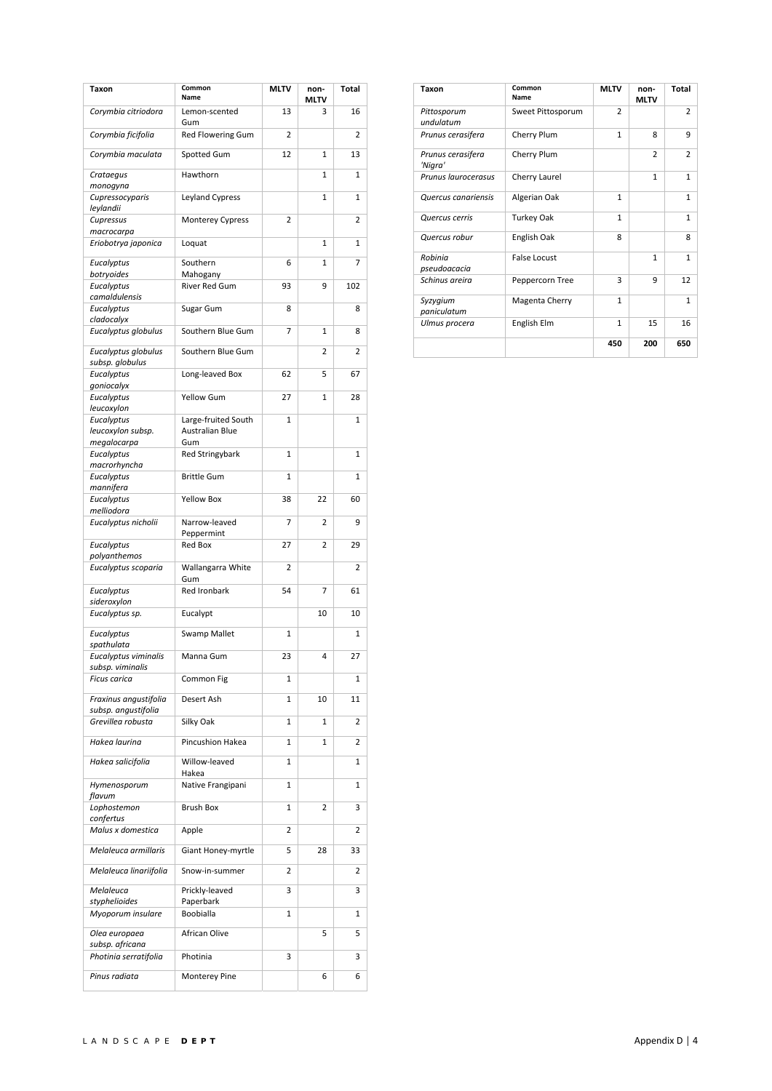| Taxon                                        | Common<br>Name                   | MLTV           | non-<br>MLTV | Total        |
|----------------------------------------------|----------------------------------|----------------|--------------|--------------|
| Corymbia citriodora                          | Lemon-scented<br>Gum             | 13             | 3            | 16           |
| Corymbia ficifolia                           | Red Flowering Gum                | 2              |              | 2            |
| Corymbia maculata                            | Spotted Gum                      | 12             | 1            | 13           |
| Crataegus<br>monogyna                        | Hawthorn                         |                | 1            | 1            |
| Cupressocyparis<br>leylandii                 | Leyland Cypress                  |                | 1            | 1            |
| Cupressus<br>macrocarpa                      | Monterey Cypress                 | 2              |              | 2            |
| Eriobotrya japonica                          | Loquat                           |                | 1            | $\mathbf{1}$ |
| Eucalyptus                                   | Southern                         | 6              | 1            | 7            |
| botryoides<br>Eucalyptus                     | Mahogany<br><b>River Red Gum</b> | 93             | 9            | 102          |
| camaldulensis<br>Eucalyptus                  | Sugar Gum                        | 8              |              | 8            |
| cladocalyx<br>Eucalyptus globulus            | Southern Blue Gum                | $\overline{7}$ | 1            | 8            |
| Eucalyptus globulus                          | Southern Blue Gum                |                | 2            | 2            |
| subsp. globulus<br>Eucalyptus                | Long-leaved Box                  | 62             | 5            | 67           |
| goniocalyx<br>Eucalyptus                     | <b>Yellow Gum</b>                | 27             | 1            | 28           |
| leucoxylon                                   | Large-fruited South              | 1              |              | 1            |
| Eucalyptus<br>leucoxylon subsp.              | Australian Blue                  |                |              |              |
| megalocarpa<br>Eucalyptus                    | Gum<br><b>Red Stringybark</b>    | 1              |              | 1            |
| macrorhyncha<br>Eucalyptus                   | <b>Brittle Gum</b>               | $\mathbf{1}$   |              | $\mathbf{1}$ |
| mannifera<br>Eucalyptus                      | <b>Yellow Box</b>                | 38             | 22           | 60           |
| melliodora<br>Eucalyptus nicholii            | Narrow-leaved                    | 7              | 2            | 9            |
|                                              | Peppermint                       | 27             | 2            |              |
| Eucalyptus<br>polyanthemos                   | Red Box                          |                |              | 29           |
| Eucalyptus scoparia                          | Wallangarra White<br>Gum         | 2              |              | 2            |
| Eucalyptus<br>sideroxylon                    | <b>Red Ironbark</b>              | 54             | 7            | 61           |
| Eucalyptus sp.                               | Eucalypt                         |                | 10           | 10           |
| Eucalyptus<br>spathulata                     | Swamp Mallet                     | 1              |              | 1            |
| Eucalyptus viminalis<br>subsp. viminalis     | Manna Gum                        | 23             | 4            | 27           |
| <b>Ficus carica</b>                          | Common Fig                       | 1              |              | 1            |
| Fraxinus angustifolia<br>subsp. angustifolia | Desert Ash                       | 1              | 10           | 11           |
| Grevillea robusta                            | Silky Oak                        | 1              | 1            | 2            |
| Hakea laurina                                | Pincushion Hakea                 | 1              | 1            | 2            |
| Hakea salicifolia                            | Willow-leaved<br>Hakea           | 1              |              | 1            |
| Hymenosporum<br>flavum                       | Native Frangipani                | 1              |              | 1            |
| Lophostemon                                  | <b>Brush Box</b>                 | 1              | 2            | 3            |
| confertus<br>Malus x domestica               | Apple                            | 2              |              | 2            |
| Melaleuca armillaris                         | Giant Honey-myrtle               | 5              | 28           | 33           |
| Melaleuca linariifolia                       | Snow-in-summer                   | 2              |              | 2            |
| Melaleuca<br>styphelioides                   | Prickly-leaved<br>Paperbark      | 3              |              | 3            |
| Myoporum insulare                            | Boobialla                        | 1              |              | 1            |
| Olea europaea<br>subsp. africana             | African Olive                    |                | 5            | 5            |
| Photinia serratifolia                        | Photinia                         | 3              |              | 3            |
| Pinus radiata                                | Monterey Pine                    |                | 6            | 6            |

| Taxon                        | Common<br>Name    | <b>MLTV</b>    | non-<br><b>MLTV</b> | Total          |
|------------------------------|-------------------|----------------|---------------------|----------------|
| Pittosporum<br>undulatum     | Sweet Pittosporum | $\overline{2}$ |                     | $\overline{2}$ |
| Prunus cerasifera            | Cherry Plum       | 1              | 8                   | 9              |
| Prunus cerasifera<br>'Nigra' | Cherry Plum       |                | $\overline{2}$      | 2              |
| Prunus laurocerasus          | Cherry Laurel     |                | 1                   | 1              |
| Quercus canariensis          | Algerian Oak      | $\mathbf{1}$   |                     | $\mathbf{1}$   |
| Quercus cerris               | <b>Turkey Oak</b> | $\mathbf{1}$   |                     | $\mathbf{1}$   |
| Quercus robur                | English Oak       | $\mathsf{R}$   |                     | $\mathsf{R}$   |
| Robinia<br>pseudoacacia      | False Locust      |                | 1                   | 1              |
| Schinus areira               | Peppercorn Tree   | 3              | 9                   | 12             |
| Syzygium<br>paniculatum      | Magenta Cherry    | $\mathbf{1}$   |                     | $\mathbf{1}$   |
| Ulmus procera                | English Elm       | $\mathbf{1}$   | 15                  | 16             |
|                              |                   | 450            | 200                 | 650            |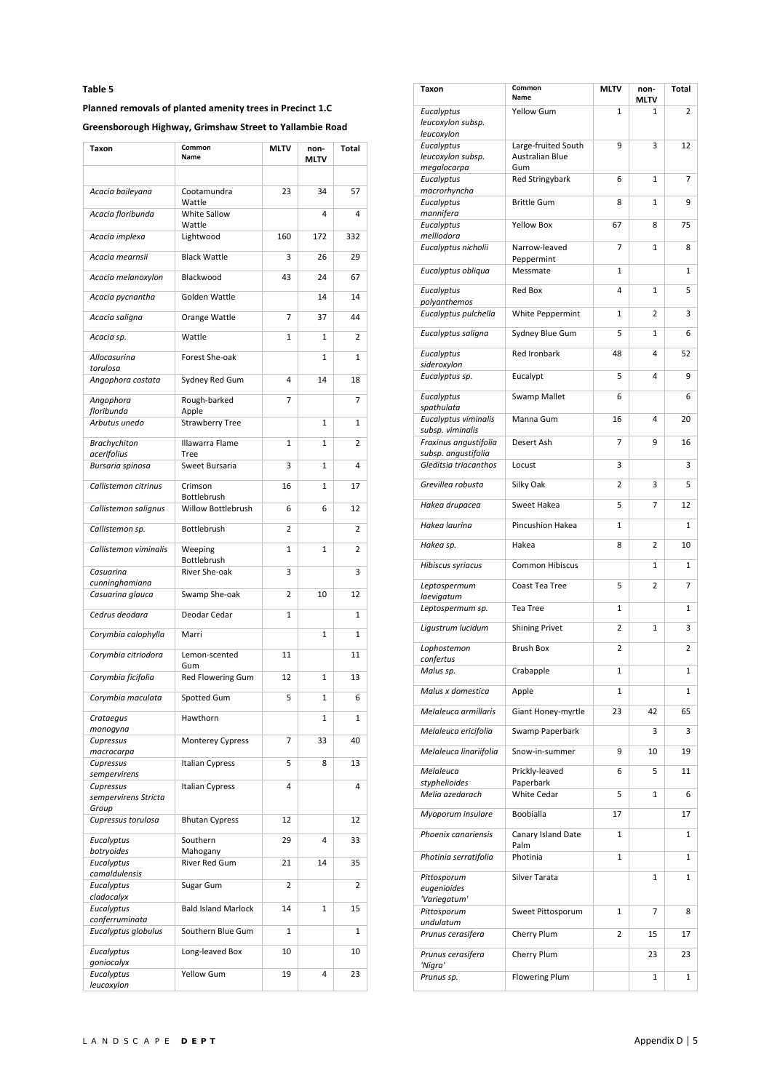# **Planned removals of planted amenity trees in Precinct 1.C**

**Greensborough Highway, Grimshaw Street to Yallambie Road** 

| Taxon                                 | Common<br>Name             | <b>MLTV</b> | non-<br>MLTV | Total |
|---------------------------------------|----------------------------|-------------|--------------|-------|
|                                       |                            |             |              |       |
| Acacia baileyana                      | Cootamundra<br>Wattle      | 23          | 34           | 57    |
| Acacia floribunda                     | White Sallow<br>Wattle     |             | 4            | 4     |
| Acacia implexa                        | Lightwood                  | 160         | 172          | 332   |
| Acacia mearnsii                       | <b>Black Wattle</b>        | 3           | 26           | 29    |
| Acacia melanoxylon                    | Blackwood                  | 43          | 24           | 67    |
| Acacia pycnantha                      | Golden Wattle              |             | 14           | 14    |
| Acacia saligna                        | Orange Wattle              | 7           | 37           | 44    |
| Acacia sp.                            | Wattle                     | 1           | $\mathbf{1}$ | 2     |
| Allocasurina<br>torulosa              | Forest She-oak             |             | 1            | 1     |
| Angophora costata                     | Sydney Red Gum             | 4           | 14           | 18    |
| Angophora<br>floribunda               | Rough-barked<br>Apple      | 7           |              | 7     |
| Arbutus unedo                         | <b>Strawberry Tree</b>     |             | $\mathbf{1}$ | 1     |
| <b>Brachychiton</b><br>acerifolius    | Illawarra Flame<br>Tree    | 1           | 1            | 2     |
| Bursaria spinosa                      | Sweet Bursaria             | 3           | $\mathbf{1}$ | 4     |
| Callistemon citrinus                  | Crimson<br>Bottlebrush     | 16          | 1            | 17    |
| Callistemon salignus                  | Willow Bottlebrush         | 6           | 6            | 12    |
| Callistemon sp.                       | Bottlebrush                | 2           |              | 2     |
| Callistemon viminalis                 | Weeping<br>Bottlebrush     | 1           | 1            | 2     |
| Casuarina<br>cunninghamiana           | River She-oak              | 3           |              | 3     |
| Casuarina glauca                      | Swamp She-oak              | 2           | 10           | 12    |
| Cedrus deodara                        | Deodar Cedar               | 1           |              | 1     |
| Corymbia calophylla                   | Marri                      |             | 1            | 1     |
| Corymbia citriodora                   | Lemon-scented<br>Gum       | 11          |              | 11    |
| Corymbia ficifolia                    | Red Flowering Gum          | 12          | 1            | 13    |
| Corymbia maculata                     | Spotted Gum                | 5           | 1            | 6     |
| Crataegus<br>monogyna                 | Hawthorn                   |             | 1            | 1     |
| Cupressus<br>macrocarpa               | <b>Monterey Cypress</b>    | 7           | 33           | 40    |
| Cupressus<br>sempervirens             | Italian Cypress            | 5           | 8            | 13    |
| Cupressus<br>sempervirens Stricta     | Italian Cypress            | 4           |              | 4     |
| Group<br>Cupressus torulosa           | <b>Bhutan Cypress</b>      | 12          |              | 12    |
| Eucalyptus                            | Southern                   | 29          | 4            | 33    |
| botryoides<br>Eucalyptus              | Mahogany<br>River Red Gum  | 21          | 14           | 35    |
| camaldulensis<br>Eucalyptus           | Sugar Gum                  | 2           |              | 2     |
| cladocalyx<br>Eucalyptus              | <b>Bald Island Marlock</b> | 14          | 1            | 15    |
| conferruminata<br>Eucalyptus globulus | Southern Blue Gum          | 1           |              | 1     |
| Eucalyptus                            | Long-leaved Box            | 10          |              | 10    |
| goniocalyx<br>Eucalyptus              | Yellow Gum                 | 19          | 4            | 23    |
| leucoxylon                            |                            |             |              |       |

| Taxon                                          | Common<br>Name                                       | <b>MLTV</b> | non-<br><b>MLTV</b> | <b>Total</b> |
|------------------------------------------------|------------------------------------------------------|-------------|---------------------|--------------|
| Eucalyptus<br>leucoxylon subsp.<br>leucoxylon  | <b>Yellow Gum</b>                                    | 1           | 1                   | 2            |
| Eucalyptus<br>leucoxylon subsp.<br>megalocarpa | Large-fruited South<br><b>Australian Blue</b><br>Gum | 9           | 3                   | 12           |
| Eucalyptus<br>macrorhyncha                     | <b>Red Stringybark</b>                               | 6           | 1                   | 7            |
| Eucalyptus<br>mannifera                        | <b>Brittle Gum</b>                                   | 8           | $\mathbf{1}$        | 9            |
| Eucalyptus<br>melliodora                       | <b>Yellow Box</b>                                    | 67          | 8                   | 75           |
| Eucalyptus nicholii                            | Narrow-leaved<br>Peppermint                          | 7           | 1                   | 8            |
| Eucalyptus obliqua                             | Messmate                                             | 1           |                     | 1            |
| Eucalyptus<br>polyanthemos                     | <b>Red Box</b>                                       | 4           | $\mathbf{1}$        | 5            |
| Eucalyptus pulchella                           | White Peppermint                                     | 1           | 2                   | 3            |
| Eucalyptus saligna                             | Sydney Blue Gum                                      | 5           | $\mathbf{1}$        | 6            |
| Eucalyptus<br>sideroxylon                      | <b>Red Ironbark</b>                                  | 48          | 4                   | 52           |
| Eucalyptus sp.                                 | Eucalypt                                             | 5           | 4                   | 9            |
| Eucalyptus<br>spathulata                       | Swamp Mallet                                         | 6           |                     | 6            |
| Eucalyptus viminalis<br>subsp. viminalis       | Manna Gum                                            | 16          | 4                   | 20           |
| Fraxinus angustifolia<br>subsp. angustifolia   | Desert Ash                                           | 7           | 9                   | 16           |
| Gleditsia triacanthos                          | Locust                                               | 3           |                     | 3            |
| Grevillea robusta                              | Silky Oak                                            | 2           | 3                   | 5            |
| Hakea drupacea                                 | Sweet Hakea                                          | 5           | 7                   | 12           |
| Hakea laurina                                  | Pincushion Hakea                                     | 1           |                     | 1            |
| Hakea sp.                                      | Hakea                                                | 8           | 2                   | 10           |
| Hibiscus syriacus                              | <b>Common Hibiscus</b>                               |             | 1                   | 1            |
| Leptospermum<br>laevigatum                     | Coast Tea Tree                                       | 5           | 2                   | 7            |
| Leptospermum sp.                               | Tea Tree                                             | 1           |                     | 1            |
| Ligustrum lucidum                              | <b>Shining Privet</b>                                | 2           | 1                   | 3            |
| Lophostemon<br>confertus                       | <b>Brush Box</b>                                     | 2           |                     | 2            |
| Malus sp.                                      | Crabapple                                            | 1           |                     | 1            |
| Malus x domestica                              | Apple                                                | 1           |                     | 1            |
| Melaleuca armillaris                           | Giant Honey-myrtle                                   | 23          | 42                  | 65           |
| Melaleuca ericifolia                           | Swamp Paperbark                                      |             | 3                   | 3            |
| Melaleuca linariifolia                         | Snow-in-summer                                       | 9           | 10                  | 19           |
| Melaleuca<br>styphelioides                     | Prickly-leaved<br>Paperbark                          | 6           | 5                   | 11           |
| Melia azedarach                                | <b>White Cedar</b>                                   | 5           | 1                   | 6            |
| Myoporum insulare                              | Boobialla                                            | 17          |                     | 17           |
| Phoenix canariensis                            | Canary Island Date<br>Palm                           | 1           |                     | 1            |
| Photinia serratifolia                          | Photinia                                             | 1           |                     | 1            |
| Pittosporum<br>eugenioides<br>'Variegatum'     | Silver Tarata                                        |             | 1                   | 1            |
| Pittosporum                                    | Sweet Pittosporum                                    | 1           | 7                   | 8            |
| undulatum<br>Prunus cerasifera                 | Cherry Plum                                          | 2           | 15                  | 17           |
| Prunus cerasifera                              | Cherry Plum                                          |             | 23                  | 23           |
| 'Nigra'<br>Prunus sp.                          | <b>Flowering Plum</b>                                |             | 1                   | 1            |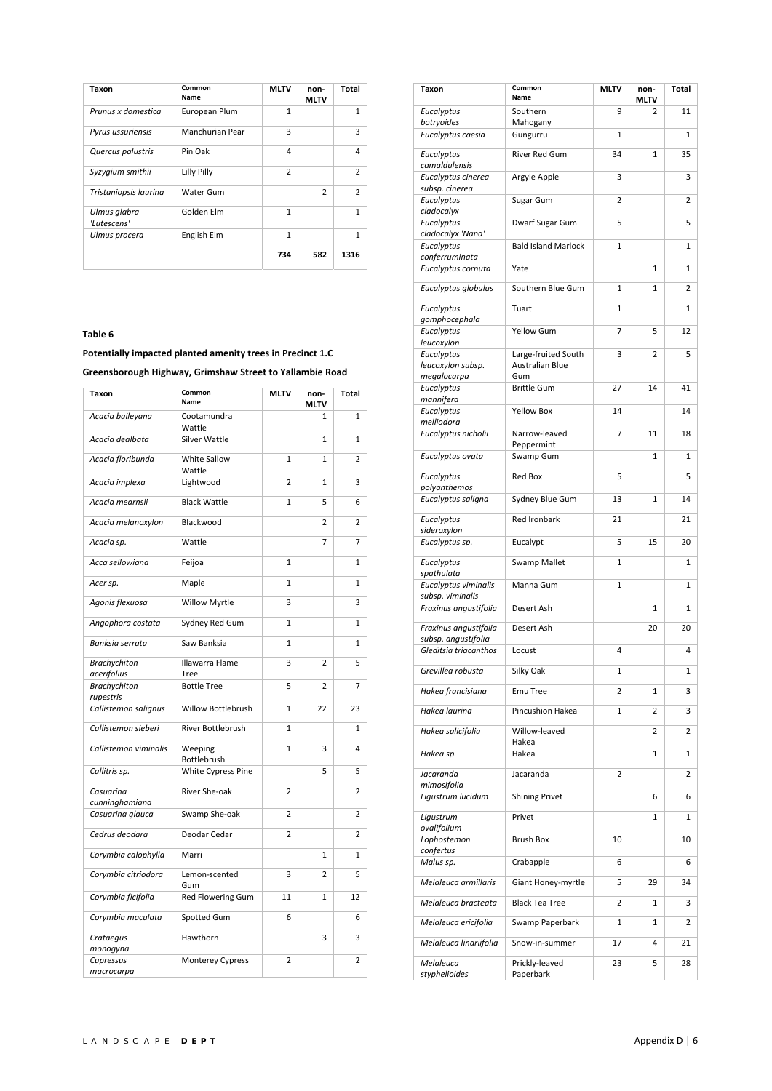| Taxon                       | Common<br>Name  | <b>MLTV</b>    | non-<br><b>MLTV</b> | Total          |
|-----------------------------|-----------------|----------------|---------------------|----------------|
| Prunus x domestica          | European Plum   | $\mathbf{1}$   |                     | $\mathbf{1}$   |
| Pyrus ussuriensis           | Manchurian Pear | 3              |                     | 3              |
| Quercus palustris           | Pin Oak         | 4              |                     | $\overline{4}$ |
| Syzygium smithii            | Lilly Pilly     | $\overline{2}$ |                     | $\overline{2}$ |
| Tristaniopsis laurina       | Water Gum       |                | $\mathfrak{p}$      | $\mathcal{P}$  |
| Ulmus glabra<br>'Lutescens' | Golden Elm      | 1              |                     | 1              |
| Ulmus procera               | English Elm     | $\mathbf{1}$   |                     | $\mathbf{1}$   |
|                             |                 | 734            | 582                 | 1316           |

**Potentially impacted planted amenity trees in Precinct 1.C** 

**Greensborough Highway, Grimshaw Street to Yallambie Road** 

| <b>Taxon</b>                       | Common<br>Name          | <b>MLTV</b>    | non-<br><b>MLTV</b> | Total          |
|------------------------------------|-------------------------|----------------|---------------------|----------------|
| Acacia baileyana                   | Cootamundra<br>Wattle   |                | 1                   | 1              |
| Acacia dealbata                    | Silver Wattle           |                | $\mathbf{1}$        | $\mathbf{1}$   |
| Acacia floribunda                  | White Sallow<br>Wattle  | $\mathbf{1}$   | 1                   | $\overline{2}$ |
| Acacia implexa                     | Lightwood               | $\overline{2}$ | $\mathbf{1}$        | 3              |
| Acacia mearnsii                    | <b>Black Wattle</b>     | $\mathbf{1}$   | 5                   | 6              |
| Acacia melanoxylon                 | Blackwood               |                | 2                   | $\overline{2}$ |
| Acacia sp.                         | Wattle                  |                | $\overline{7}$      | $\overline{7}$ |
| Acca sellowiana                    | Feijoa                  | $\mathbf{1}$   |                     | $\mathbf{1}$   |
| Acer sp.                           | Maple                   | $\mathbf{1}$   |                     | $\mathbf{1}$   |
| Agonis flexuosa                    | Willow Myrtle           | 3              |                     | 3              |
| Angophora costata                  | Sydney Red Gum          | $\mathbf{1}$   |                     | 1              |
| Banksia serrata                    | Saw Banksia             | $\mathbf{1}$   |                     | $\mathbf{1}$   |
| <b>Brachychiton</b><br>acerifolius | Illawarra Flame<br>Tree | 3              | $\overline{2}$      | 5              |
| <b>Brachychiton</b><br>rupestris   | <b>Bottle Tree</b>      | 5              | $\overline{2}$      | 7              |
| Callistemon salignus               | Willow Bottlebrush      | $\mathbf{1}$   | 22                  | 23             |
| Callistemon sieberi                | River Bottlebrush       | $\mathbf{1}$   |                     | $\mathbf{1}$   |
| Callistemon viminalis              | Weeping<br>Bottlebrush  | $\mathbf{1}$   | 3                   | 4              |
| Callitris sp.                      | White Cypress Pine      |                | 5                   | 5              |
| Casuarina<br>cunninghamiana        | River She-oak           | $\overline{2}$ |                     | 2              |
| Casuarina glauca                   | Swamp She-oak           | $\overline{2}$ |                     | $\overline{2}$ |
| Cedrus deodara                     | Deodar Cedar            | $\overline{2}$ |                     | 2              |
| Corymbia calophylla                | Marri                   |                | $\mathbf{1}$        | $\mathbf{1}$   |
| Corymbia citriodora                | Lemon-scented<br>Gum    | 3              | $\overline{2}$      | 5              |
| Corymbia ficifolia                 | Red Flowering Gum       | 11             | 1                   | 12             |
| Corymbia maculata                  | Spotted Gum             | 6              |                     | 6              |
| Crataegus<br>monogyna              | Hawthorn                |                | 3                   | 3              |
| Cupressus<br>macrocarpa            | <b>Monterey Cypress</b> | $\overline{2}$ |                     | 2              |

| Taxon                                        | Common<br>Name              | <b>MLTV</b> | non-<br><b>MLTV</b> | <b>Total</b> |
|----------------------------------------------|-----------------------------|-------------|---------------------|--------------|
| Eucalyptus                                   | Southern                    | 9           | 2                   | 11           |
| botryoides<br>Eucalyptus caesia              | Mahogany<br>Gungurru        | 1           |                     | 1            |
| Eucalyptus<br>camaldulensis                  | <b>River Red Gum</b>        | 34          | $\mathbf{1}$        | 35           |
| Eucalyptus cinerea<br>subsp. cinerea         | Argyle Apple                | 3           |                     | 3            |
| Eucalyptus                                   | Sugar Gum                   | 2           |                     | 2            |
| cladocalyx<br>Eucalyptus                     | Dwarf Sugar Gum             | 5           |                     | 5            |
| cladocalyx 'Nana'<br>Eucalyptus              | <b>Bald Island Marlock</b>  | 1           |                     | 1            |
| conferruminata<br>Eucalyptus cornuta         | Yate                        |             | 1                   | 1            |
| Eucalyptus globulus                          | Southern Blue Gum           | 1           | $\mathbf{1}$        | 2            |
| Eucalyptus                                   | Tuart                       | 1           |                     | 1            |
| gomphocephala<br>Eucalyptus                  | <b>Yellow Gum</b>           | 7           | 5                   | 12           |
| leucoxylon<br>Eucalyptus                     | Large-fruited South         | 3           | 2                   | 5            |
| leucoxylon subsp.                            | <b>Australian Blue</b>      |             |                     |              |
| megalocarpa<br>Eucalyptus                    | Gum<br><b>Brittle Gum</b>   | 27          | 14                  | 41           |
| mannifera<br>Eucalyptus                      | <b>Yellow Box</b>           | 14          |                     | 14           |
| melliodora<br>Eucalyptus nicholii            | Narrow-leaved               | 7           | 11                  | 18           |
| Eucalyptus ovata                             | Peppermint<br>Swamp Gum     |             | 1                   | 1            |
| Eucalyptus                                   | <b>Red Box</b>              | 5           |                     | 5            |
| polyanthemos<br>Eucalyptus saligna           | Sydney Blue Gum             | 13          | 1                   | 14           |
| Eucalyptus                                   | Red Ironbark                | 21          |                     | 21           |
| sideroxylon                                  |                             |             | 15                  |              |
| Eucalyptus sp.<br>Eucalyptus                 | Eucalypt<br>Swamp Mallet    | 5<br>1      |                     | 20<br>1      |
| spathulata                                   |                             |             |                     |              |
| Eucalyptus viminalis<br>subsp. viminalis     | Manna Gum                   | 1           |                     | 1            |
| Fraxinus angustifolia                        | Desert Ash                  |             | 1                   | 1            |
| Fraxinus angustifolia<br>subsp. angustifolia | Desert Ash                  |             | 20                  | 20           |
| Gleditsia triacanthos                        | Locust                      | 4           |                     | 4            |
| Grevillea robusta                            | Silky Oak                   | 1           |                     | 1            |
| Hakea francisiana                            | <b>Emu Tree</b>             | 2           | 1                   | 3            |
| Hakea laurina                                | Pincushion Hakea            | 1           | 2                   | 3            |
| Hakea salicifolia                            | Willow-leaved<br>Hakea      |             | 2                   | 2            |
| Hakea sp.                                    | Hakea                       |             | 1                   | 1            |
| Jacaranda<br>mimosifolia                     | Jacaranda                   | 2           |                     | 2            |
| Ligustrum lucidum                            | <b>Shining Privet</b>       |             | 6                   | 6            |
| Ligustrum<br>ovalifolium                     | Privet                      |             | 1                   | 1            |
| Lophostemon<br>confertus                     | Brush Box                   | 10          |                     | 10           |
| Malus sp.                                    | Crabapple                   | 6           |                     | 6            |
| Melaleuca armillaris                         | Giant Honey-myrtle          | 5           | 29                  | 34           |
| Melaleuca bracteata                          | <b>Black Tea Tree</b>       | 2           | 1                   | 3            |
| Melaleuca ericifolia                         | Swamp Paperbark             | 1           | 1                   | 2            |
| Melaleuca linariifolia                       | Snow-in-summer              | 17          | 4                   | 21           |
| Melaleuca<br>styphelioides                   | Prickly-leaved<br>Paperbark | 23          | 5                   | 28           |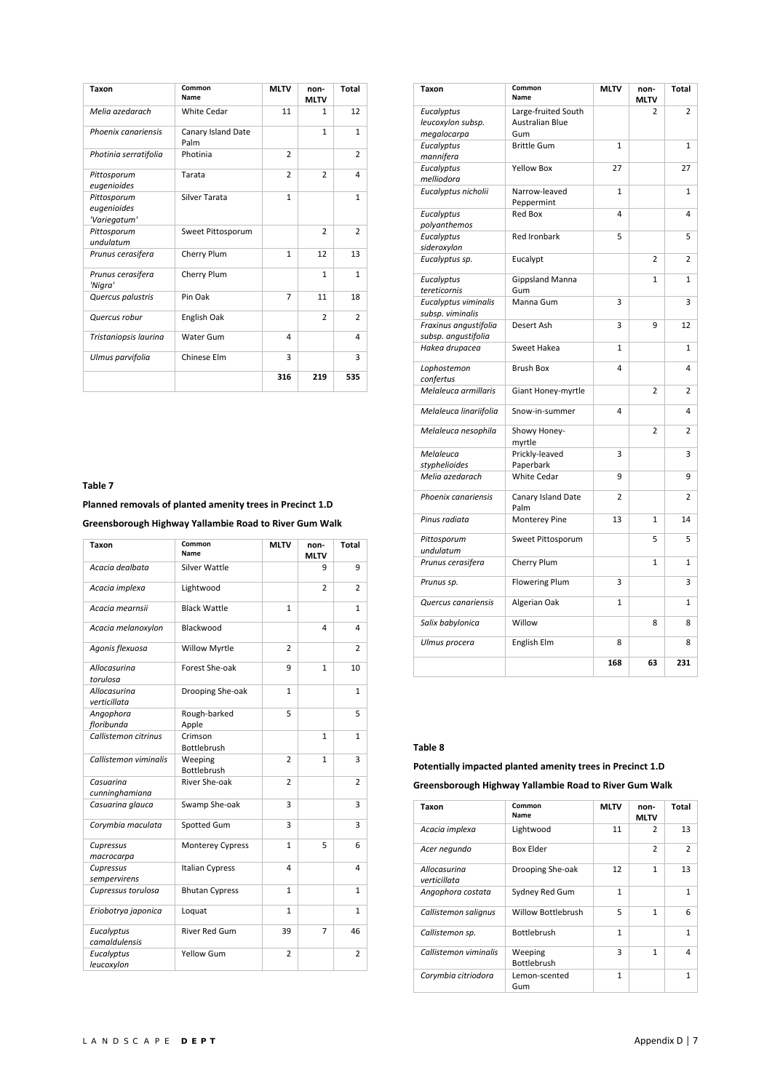| Taxon                                      | Common<br>Name             | <b>MLTV</b>    | non-<br><b>MLTV</b> | Total          |
|--------------------------------------------|----------------------------|----------------|---------------------|----------------|
| Melia azedarach                            | <b>White Cedar</b>         | 11             | 1                   | 12             |
| Phoenix canariensis                        | Canary Island Date<br>Palm |                | $\mathbf{1}$        | $\mathbf{1}$   |
| Photinia serratifolia                      | Photinia                   | $\overline{2}$ |                     | $\overline{2}$ |
| Pittosporum<br>eugenioides                 | Tarata                     | $\overline{2}$ | $\overline{2}$      | 4              |
| Pittosporum<br>eugenioides<br>'Variegatum' | Silver Tarata              | $\mathbf{1}$   |                     | $\mathbf{1}$   |
| Pittosporum<br>undulatum                   | Sweet Pittosporum          |                | $\overline{2}$      | $\overline{2}$ |
| Prunus cerasifera                          | Cherry Plum                | $\mathbf{1}$   | 12                  | 13             |
| Prunus cerasifera<br>'Nigra'               | Cherry Plum                |                | 1                   | $\mathbf{1}$   |
| Quercus palustris                          | Pin Oak                    | $\overline{7}$ | 11                  | 18             |
| Quercus robur                              | English Oak                |                | $\overline{2}$      | $\overline{2}$ |
| Tristaniopsis laurina                      | Water Gum                  | 4              |                     | 4              |
| Ulmus parvifolia                           | Chinese Elm                | 3              |                     | 3              |
|                                            |                            | 316            | 219                 | 535            |

**Planned removals of planted amenity trees in Precinct 1.D** 

**Greensborough Highway Yallambie Road to River Gum Walk** 

| Taxon                        | Common<br>Name         | <b>MLTV</b>    | non-<br><b>MLTV</b> | <b>Total</b>   |
|------------------------------|------------------------|----------------|---------------------|----------------|
| Acacia dealbata              | Silver Wattle          |                | 9                   | 9              |
| Acacia implexa               | Lightwood              |                | $\overline{2}$      | 2              |
| Acacia mearnsii              | <b>Black Wattle</b>    | 1              |                     | $\mathbf{1}$   |
| Acacia melanoxylon           | Blackwood              |                | 4                   | 4              |
| Agonis flexuosa              | <b>Willow Myrtle</b>   | 2              |                     | 2              |
| Allocasurina<br>torulosa     | Forest She-oak         | 9              | $\mathbf{1}$        | 10             |
| Allocasurina<br>verticillata | Drooping She-oak       | $\mathbf{1}$   |                     | $\mathbf{1}$   |
| Angophora<br>floribunda      | Rough-barked<br>Apple  | 5              |                     | 5              |
| Callistemon citrinus         | Crimson<br>Bottlebrush |                | $\mathbf{1}$        | $\mathbf{1}$   |
| Callistemon viminalis        | Weeping<br>Bottlebrush | $\overline{2}$ | $\mathbf{1}$        | 3              |
| Casuarina<br>cunninghamiana  | River She-oak          | $\overline{2}$ |                     | $\overline{2}$ |
| Casuarina glauca             | Swamp She-oak          | 3              |                     | 3              |
| Corymbia maculata            | Spotted Gum            | 3              |                     | 3              |
| Cupressus<br>macrocarpa      | Monterey Cypress       | $\mathbf{1}$   | 5                   | 6              |
| Cupressus<br>sempervirens    | Italian Cypress        | 4              |                     | 4              |
| Cupressus torulosa           | <b>Bhutan Cypress</b>  | 1              |                     | 1              |
| Eriobotrya japonica          | Loquat                 | 1              |                     | $\mathbf{1}$   |
| Eucalyptus<br>camaldulensis  | <b>River Red Gum</b>   | 39             | 7                   | 46             |
| Eucalyptus<br>leucoxylon     | Yellow Gum             | $\overline{2}$ |                     | $\overline{2}$ |

| <b>Taxon</b>                                   | Common<br>Name                                       | <b>MLTV</b>    | non-<br><b>MLTV</b> | <b>Total</b>   |
|------------------------------------------------|------------------------------------------------------|----------------|---------------------|----------------|
| Eucalyptus<br>leucoxylon subsp.<br>megalocarpa | Large-fruited South<br><b>Australian Blue</b><br>Gum |                | 2                   | 2              |
| Eucalyptus<br>mannifera                        | <b>Brittle Gum</b>                                   | $\mathbf{1}$   |                     | $\mathbf{1}$   |
| Eucalyptus<br>melliodora                       | <b>Yellow Box</b>                                    | 27             |                     | 27             |
| Eucalyptus nicholii                            | Narrow-leaved<br>Peppermint                          | 1              |                     | 1              |
| Eucalyptus<br>polyanthemos                     | <b>Red Box</b>                                       | 4              |                     | 4              |
| Eucalyptus<br>sideroxylon                      | <b>Red Ironbark</b>                                  | 5              |                     | 5              |
| Eucalyptus sp.                                 | Eucalypt                                             |                | $\overline{2}$      | 2              |
| Eucalyptus<br>tereticornis                     | <b>Gippsland Manna</b><br>Gum                        |                | $\mathbf{1}$        | $\mathbf{1}$   |
| Eucalyptus viminalis<br>subsp. viminalis       | Manna Gum                                            | 3              |                     | 3              |
| Fraxinus angustifolia<br>subsp. angustifolia   | Desert Ash                                           | 3              | 9                   | 12             |
| Hakea drupacea                                 | Sweet Hakea                                          | 1              |                     | 1              |
| Lophostemon<br>confertus                       | <b>Brush Box</b>                                     | 4              |                     | 4              |
| Melaleuca armillaris                           | Giant Honey-myrtle                                   |                | $\overline{2}$      | $\overline{2}$ |
| Melaleuca linariifolia                         | Snow-in-summer                                       | 4              |                     | 4              |
| Melaleuca nesophila                            | Showy Honey-<br>myrtle                               |                | $\overline{2}$      | 2              |
| Melaleuca<br>styphelioides                     | Prickly-leaved<br>Paperbark                          | 3              |                     | 3              |
| Melia azedarach                                | <b>White Cedar</b>                                   | 9              |                     | 9              |
| Phoenix canariensis                            | Canary Island Date<br>Palm                           | $\overline{2}$ |                     | 2              |
| Pinus radiata                                  | Monterey Pine                                        | 13             | $\mathbf{1}$        | 14             |
| Pittosporum<br>undulatum                       | Sweet Pittosporum                                    |                | 5                   | 5              |
| Prunus cerasifera                              | Cherry Plum                                          |                | $\mathbf{1}$        | $\mathbf{1}$   |
| Prunus sp.                                     | <b>Flowering Plum</b>                                | 3              |                     | 3              |
| Quercus canariensis                            | Algerian Oak                                         | $\mathbf{1}$   |                     | 1              |
| Salix babylonica                               | Willow                                               |                | 8                   | 8              |
| Ulmus procera                                  | English Elm                                          | 8              |                     | 8              |
|                                                |                                                      | 168            | 63                  | 231            |

#### **Table 8**

**Potentially impacted planted amenity trees in Precinct 1.D** 

**Greensborough Highway Yallambie Road to River Gum Walk** 

| Taxon                        | Common<br>Name                | <b>MLTV</b>  | non-<br><b>MLTV</b> | Total          |
|------------------------------|-------------------------------|--------------|---------------------|----------------|
| Acacia implexa               | Lightwood                     | 11           | $\overline{2}$      | 13             |
| Acer negundo                 | <b>Box Elder</b>              |              | $\overline{2}$      | $\overline{2}$ |
| Allocasurina<br>verticillata | Drooping She-oak              | 12           | $\mathbf{1}$        | 13             |
| Angophora costata            | Sydney Red Gum                | $\mathbf{1}$ |                     | $\mathbf{1}$   |
| Callistemon salignus         | <b>Willow Bottlebrush</b>     | 5            | 1                   | 6              |
| Callistemon sp.              | <b>Bottlebrush</b>            | $\mathbf{1}$ |                     | $\mathbf{1}$   |
| Callistemon viminalis        | Weeping<br><b>Bottlebrush</b> | 3            | 1                   | 4              |
| Corymbia citriodora          | Lemon-scented<br>Gum          | 1            |                     | 1              |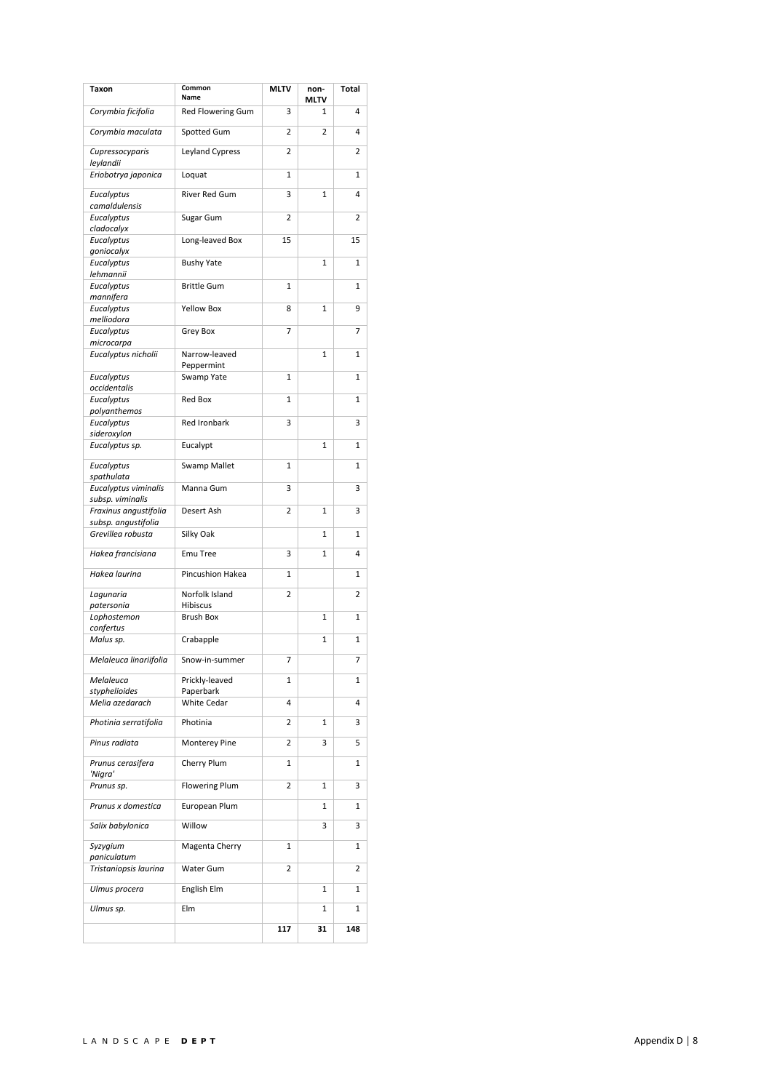| Taxon                                     | Common<br>Name                  | <b>MLTV</b>    | non-<br>MLTV   | <b>Total</b>   |
|-------------------------------------------|---------------------------------|----------------|----------------|----------------|
| Corymbia ficifolia                        | Red Flowering Gum               | 3              | 1              | 4              |
| Corymbia maculata                         | Spotted Gum                     | 2              | $\overline{2}$ | 4              |
| Cupressocyparis<br>leylandii              | Leyland Cypress                 | 2              |                | 2              |
| Eriobotrya japonica                       | Loquat                          | 1              |                | $\mathbf{1}$   |
| Eucalyptus<br>camaldulensis               | <b>River Red Gum</b>            | 3              | 1              | 4              |
| Eucalyptus                                | Sugar Gum                       | 2              |                | 2              |
| cladocalyx<br>Eucalyptus                  | Long-leaved Box                 | 15             |                | 15             |
| goniocalyx<br>Eucalyptus                  | <b>Bushy Yate</b>               |                | $\mathbf{1}$   | $\mathbf{1}$   |
| lehmannii<br>Eucalyptus                   | <b>Brittle Gum</b>              | 1              |                | 1              |
| mannifera<br>Eucalyptus                   | <b>Yellow Box</b>               | 8              | 1              | 9              |
| melliodora<br>Eucalyptus                  | Grey Box                        | 7              |                | 7              |
| microcarpa                                |                                 |                |                |                |
| Eucalyptus nicholii                       | Narrow-leaved<br>Peppermint     |                | 1              | $\mathbf{1}$   |
| Eucalyptus<br>occidentalis                | Swamp Yate                      | 1              |                | $\mathbf{1}$   |
| Eucalyptus<br>polyanthemos                | <b>Red Box</b>                  | $\mathbf{1}$   |                | $\mathbf{1}$   |
| Eucalyptus                                | <b>Red Ironbark</b>             | 3              |                | 3              |
| sideroxylon<br>Eucalyptus sp.             | Eucalypt                        |                | 1              | 1              |
| Eucalyptus                                | <b>Swamp Mallet</b>             | 1              |                | 1              |
| spathulata<br>Eucalyptus viminalis        | Manna Gum                       | 3              |                | 3              |
| subsp. viminalis<br>Fraxinus angustifolia | Desert Ash                      | $\overline{2}$ | 1              | 3              |
| subsp. angustifolia<br>Grevillea robusta  | Silky Oak                       |                | $\mathbf{1}$   | $\mathbf{1}$   |
| Hakea francisiana                         | Emu Tree                        | 3              | 1              | 4              |
| Hakea laurina                             | Pincushion Hakea                | 1              |                | $\mathbf{1}$   |
| Lagunaria                                 | Norfolk Island                  | $\overline{2}$ |                | 2              |
| patersonia<br>Lophostemon                 | Hibiscus<br><b>Brush Box</b>    |                | $\mathbf 1$    | 1              |
| confertus<br>Malus sp.                    | Crabapple                       |                | 1              | $\mathbf{1}$   |
| Melaleuca linariifolia                    | Snow-in-summer                  | 7              |                | $\overline{7}$ |
| Melaleuca                                 | Prickly-leaved                  | 1              |                | $\mathbf{1}$   |
| styphelioides<br>Melia azedarach          | Paperbark<br><b>White Cedar</b> | 4              |                | 4              |
| Photinia serratifolia                     | Photinia                        | 2              | 1              | 3              |
| Pinus radiata                             | Monterey Pine                   | 2              | 3              | 5              |
| Prunus cerasifera                         | Cherry Plum                     | 1              |                | 1              |
| 'Nigra'<br>Prunus sp.                     | <b>Flowering Plum</b>           | 2              | 1              | 3              |
| Prunus x domestica                        | European Plum                   |                | 1              | 1              |
| Salix babylonica                          | Willow                          |                | 3              | 3              |
| Syzygium                                  | Magenta Cherry                  | 1              |                | 1              |
| paniculatum<br>Tristaniopsis laurina      | Water Gum                       | 2              |                | 2              |
| Ulmus procera                             | English Elm                     |                | 1              | $\mathbf{1}$   |
| Ulmus sp.                                 | Elm                             |                | 1              | 1              |
|                                           |                                 | 117            | 31             | 148            |
|                                           |                                 |                |                |                |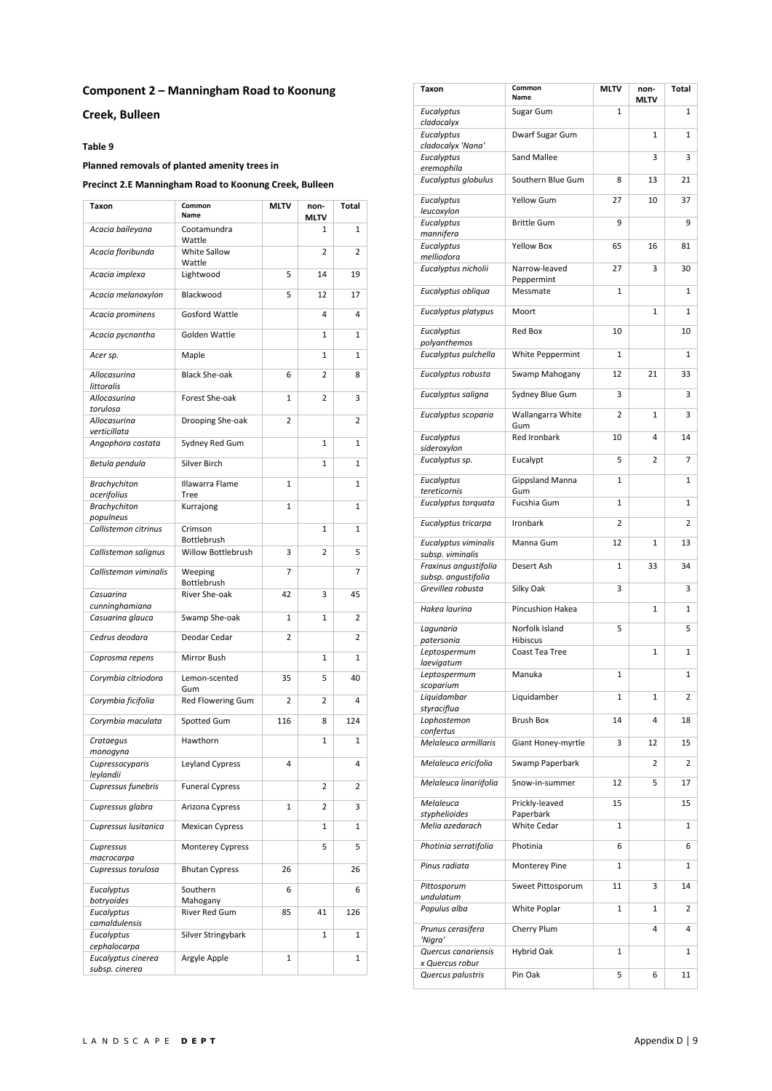# **Component 2 – Manningham Road to Koonung**

**Creek, Bulleen** 

#### **Table 9**

# **Planned removals of planted amenity trees in**

#### **Precinct 2.E Manningham Road to Koonung Creek, Bulleen**

| Taxon                              | Common<br>Name          | <b>MLTV</b>  | non-<br>MLTV   | Total        |
|------------------------------------|-------------------------|--------------|----------------|--------------|
| Acacia baileyana                   | Cootamundra<br>Wattle   |              | 1              | 1            |
| Acacia floribunda                  | White Sallow<br>Wattle  |              | 2              | 2            |
| Acacia implexa                     | Lightwood               | 5            | 14             | 19           |
| Acacia melanoxylon                 | Blackwood               | 5            | 12             | 17           |
| Acacia prominens                   | <b>Gosford Wattle</b>   |              | 4              | 4            |
| Acacia pycnantha                   | Golden Wattle           |              | 1              | 1            |
| Acer sp.                           | Maple                   |              | 1              | 1            |
| Allocasurina<br>littoralis         | <b>Black She-oak</b>    | 6            | 2              | 8            |
| Allocasurina<br>torulosa           | Forest She-oak          | 1            | 2              | 3            |
| Allocasurina<br>verticillata       | Drooping She-oak        | 2            |                | 2            |
| Angophora costata                  | Sydney Red Gum          |              | $\mathbf{1}$   | 1            |
| Betula pendula                     | Silver Birch            |              | $\mathbf{1}$   | $\mathbf{1}$ |
| <b>Brachychiton</b><br>acerifolius | Illawarra Flame<br>Tree | $\mathbf{1}$ |                | 1            |
| <b>Brachychiton</b><br>populneus   | Kurrajong               | $\mathbf{1}$ |                | 1            |
| Callistemon citrinus               | Crimson<br>Bottlebrush  |              | $\mathbf{1}$   | 1            |
| Callistemon salignus               | Willow Bottlebrush      | 3            | $\overline{2}$ | 5            |
| Callistemon viminalis              | Weeping<br>Bottlebrush  | 7            |                | 7            |
| Casuarina<br>cunninghamiana        | River She-oak           | 42           | 3              | 45           |
| Casuarina glauca                   | Swamp She-oak           | 1            | 1              | 2            |
| Cedrus deodara                     | Deodar Cedar            | 2            |                | 2            |
| Coprosma repens                    | Mirror Bush             |              | 1              | 1            |
| Corymbia citriodora                | Lemon-scented<br>Gum    | 35           | 5              | 40           |
| Corymbia ficifolia                 | Red Flowering Gum       | 2            | 2              | 4            |
| Corymbia maculata                  | Spotted Gum             | 116          | 8              | 124          |
| Crataegus<br>monogyna              | Hawthorn                |              | 1              | 1            |
| Cupressocyparis<br>leylandii       | Leyland Cypress         | 4            |                | 4            |
| Cupressus funebris                 | <b>Funeral Cypress</b>  |              | 2              | 2            |
| Cupressus glabra                   | Arizona Cypress         | 1            | 2              | 3            |
| Cupressus lusitanica               | <b>Mexican Cypress</b>  |              | 1              | 1            |
| Cupressus<br>macrocarpa            | <b>Monterey Cypress</b> |              | 5              | 5            |
| Cupressus torulosa                 | <b>Bhutan Cypress</b>   | 26           |                | 26           |
| Eucalyptus<br>botryoides           | Southern<br>Mahogany    | 6            |                | 6            |
| Eucalyptus<br>camaldulensis        | River Red Gum           | 85           | 41             | 126          |
| Eucalyptus                         | Silver Stringybark      |              | 1              | 1            |
| cephalocarpa<br>Eucalyptus cinerea | Argyle Apple            | $\mathbf{1}$ |                | $\mathbf{1}$ |
| subsp. cinerea                     |                         |              |                |              |

| Taxon                                     | Common<br>Name              | <b>MLTV</b>  | non-<br><b>MLTV</b> | <b>Total</b> |
|-------------------------------------------|-----------------------------|--------------|---------------------|--------------|
| Eucalyptus<br>cladocalyx                  | Sugar Gum                   | $\mathbf{1}$ |                     | 1            |
| Eucalyptus                                | Dwarf Sugar Gum             |              | $\mathbf{1}$        | 1            |
| cladocalyx 'Nana'<br>Eucalyptus           | <b>Sand Mallee</b>          |              | 3                   | 3            |
| eremophila<br>Eucalyptus globulus         | Southern Blue Gum           | 8            | 13                  | 21           |
| Eucalyptus                                | <b>Yellow Gum</b>           | 27           | 10                  | 37           |
| leucoxylon<br>Eucalyptus                  | <b>Brittle Gum</b>          | 9            |                     | 9            |
| mannifera<br>Eucalyptus                   | <b>Yellow Box</b>           | 65           | 16                  | 81           |
| melliodora<br>Eucalyptus nicholii         | Narrow-leaved               | 27           | 3                   | 30           |
| Eucalyptus obliqua                        | Peppermint<br>Messmate      | $\mathbf{1}$ |                     | 1            |
| Eucalyptus platypus                       | Moort                       |              | $\mathbf{1}$        | 1            |
| Eucalyptus                                | Red Box                     | 10           |                     | 10           |
| polyanthemos<br>Eucalyptus pulchella      | White Peppermint            | 1            |                     | 1            |
| Eucalyptus robusta                        | Swamp Mahogany              | 12           | 21                  | 33           |
| Eucalyptus saligna                        | Sydney Blue Gum             | 3            |                     | 3            |
| Eucalyptus scoparia                       | Wallangarra White           | 2            | $\mathbf{1}$        | 3            |
| Eucalyptus                                | Gum<br><b>Red Ironbark</b>  | 10           | 4                   | 14           |
| sideroxylon<br>Eucalyptus sp.             | Eucalypt                    | 5            | 2                   | 7            |
| Eucalyptus                                | <b>Gippsland Manna</b>      | 1            |                     | 1            |
| tereticornis<br>Eucalyptus torquata       | Gum<br>Fucshia Gum          | 1            |                     | 1            |
| Eucalyptus tricarpa                       | Ironbark                    | 2            |                     | 2            |
| Eucalyptus viminalis                      | Manna Gum                   | 12           | $\mathbf{1}$        | 13           |
| subsp. viminalis<br>Fraxinus angustifolia | Desert Ash                  | 1            | 33                  | 34           |
| subsp. angustifolia<br>Grevillea robusta  | Silky Oak                   | 3            |                     | 3            |
| Hakea laurina                             | Pincushion Hakea            |              | $\mathbf{1}$        | 1            |
| Lagunaria                                 | Norfolk Island              | 5            |                     | 5            |
| patersonia<br>Leptospermum                | Hibiscus<br>Coast Tea Tree  |              | $\mathbf{1}$        | 1            |
| laevigatum<br>Leptospermum                | Manuka                      | 1            |                     | 1            |
| scoparium                                 |                             |              |                     |              |
| Liquidambar<br>styraciflua                | Liquidamber                 | 1            | 1                   | 2            |
| Lophostemon<br>confertus                  | <b>Brush Box</b>            | 14           | 4                   | 18           |
| Melaleuca armillaris                      | Giant Honey-myrtle          | 3            | 12                  | 15           |
| Melaleuca ericifolia                      | Swamp Paperbark             |              | 2                   | 2            |
| Melaleuca linariifolia                    | Snow-in-summer              | 12           | 5                   | 17           |
| Melaleuca<br>styphelioides                | Prickly-leaved<br>Paperbark | 15           |                     | 15           |
| Melia azedarach                           | <b>White Cedar</b>          | 1            |                     | 1            |
| Photinia serratifolia                     | Photinia                    | 6            |                     | 6            |
| Pinus radiata                             | Monterey Pine               | 1            |                     | 1            |
| Pittosporum<br>undulatum                  | Sweet Pittosporum           | 11           | 3                   | 14           |
| Populus alba                              | White Poplar                | 1            | 1                   | 2            |
| Prunus cerasifera<br>'Nigra'              | Cherry Plum                 |              | 4                   | 4            |
| Quercus canariensis<br>x Quercus robur    | Hybrid Oak                  | 1            |                     | 1            |
| Quercus palustris                         | Pin Oak                     | 5            | 6                   | 11           |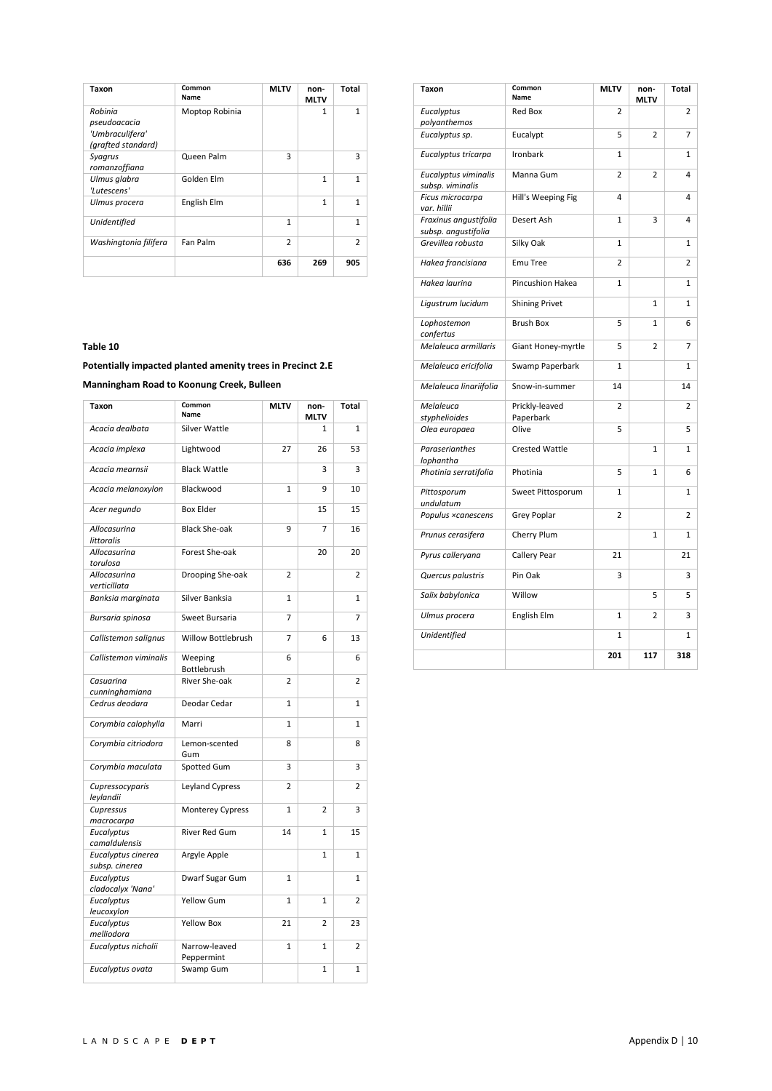| Taxon                                                            | Common<br><b>Name</b> | <b>MLTV</b>    | non-<br><b>MLTV</b> | Total         |
|------------------------------------------------------------------|-----------------------|----------------|---------------------|---------------|
| Robinia<br>pseudoacacia<br>'Umbraculifera'<br>(grafted standard) | Moptop Robinia        |                | $\mathbf{1}$        | $\mathbf{1}$  |
| Syagrus<br>romanzoffiana                                         | Queen Palm            | 3              |                     | 3             |
| Ulmus glabra<br>'Lutescens'                                      | Golden Elm            |                | 1                   | 1             |
| Ulmus procera                                                    | English Elm           |                | 1                   | 1             |
| Unidentified                                                     |                       | $\mathbf{1}$   |                     | 1             |
| Washingtonia filifera                                            | Fan Palm              | $\overline{2}$ |                     | $\mathcal{P}$ |
|                                                                  |                       | 636            | 269                 | 905           |

**Potentially impacted planted amenity trees in Precinct 2.E** 

**Manningham Road to Koonung Creek, Bulleen** 

| Taxon                                | Common<br>Name              | <b>MLTV</b>    | non-<br><b>MLTV</b> | Total          |
|--------------------------------------|-----------------------------|----------------|---------------------|----------------|
| Acacia dealbata                      | Silver Wattle               |                | $\mathbf{1}$        | $\mathbf{1}$   |
| Acacia implexa                       | Lightwood                   | 27             | 26                  | 53             |
| Acacia mearnsii                      | <b>Black Wattle</b>         |                | 3                   | 3              |
| Acacia melanoxylon                   | Blackwood                   | $\overline{1}$ | 9                   | 10             |
| Acer negundo                         | <b>Box Elder</b>            |                | 15                  | 15             |
| Allocasurina<br>littoralis           | <b>Black She-oak</b>        | 9              | $\overline{7}$      | 16             |
| Allocasurina<br>torulosa             | Forest She-oak              |                | 20                  | 20             |
| Allocasurina<br>verticillata         | Drooping She-oak            | $\overline{2}$ |                     | $\overline{2}$ |
| Banksia marginata                    | Silver Banksia              | $\overline{1}$ |                     | $\mathbf{1}$   |
| Bursaria spinosa                     | Sweet Bursaria              | 7              |                     | 7              |
| Callistemon salignus                 | Willow Bottlebrush          | 7              | 6                   | 13             |
| Callistemon viminalis                | Weeping<br>Bottlebrush      | 6              |                     | 6              |
| Casuarina<br>cunninghamiana          | River She-oak               | $\overline{2}$ |                     | 2              |
| Cedrus deodara                       | Deodar Cedar                | $\mathbf{1}$   |                     | 1              |
| Corymbia calophylla                  | Marri                       | $\mathbf{1}$   |                     | 1              |
| Corymbia citriodora                  | Lemon-scented<br>Gum        | 8              |                     | 8              |
| Corymbia maculata                    | Spotted Gum                 | 3              |                     | 3              |
| Cupressocyparis<br>leylandii         | Leyland Cypress             | 2              |                     | 2              |
| Cupressus<br>macrocarpa              | Monterey Cypress            | 1              | $\overline{2}$      | 3              |
| Eucalyptus<br>camaldulensis          | <b>River Red Gum</b>        | 14             | 1                   | 15             |
| Eucalyptus cinerea<br>subsp. cinerea | Argyle Apple                |                | 1                   | 1              |
| Eucalyptus                           | Dwarf Sugar Gum             | 1              |                     | $\mathbf{1}$   |
| cladocalyx 'Nana'<br>Eucalyptus      | <b>Yellow Gum</b>           | $\mathbf{1}$   | $\mathbf{1}$        | $\overline{2}$ |
| leucoxylon<br>Eucalyptus             | <b>Yellow Box</b>           | 21             | 2                   | 23             |
| melliodora                           |                             |                |                     |                |
| Eucalyptus nicholii                  | Narrow-leaved<br>Peppermint | 1              | 1                   | 2              |
| Eucalyptus ovata                     | Swamp Gum                   |                | 1                   | 1              |

| Taxon                                        | Common<br>Name              | <b>MLTV</b>    | non-<br><b>MLTV</b> | Total          |
|----------------------------------------------|-----------------------------|----------------|---------------------|----------------|
| Eucalyptus<br>polyanthemos                   | <b>Red Box</b>              | 2              |                     | $\overline{2}$ |
| Eucalyptus sp.                               | Eucalypt                    | 5              | $\overline{2}$      | 7              |
| Eucalyptus tricarpa                          | Ironbark                    | $\mathbf{1}$   |                     | $\mathbf{1}$   |
| Eucalyptus viminalis<br>subsp. viminalis     | Manna Gum                   | 2              | 2                   | 4              |
| Ficus microcarpa<br>var. hillii              | Hill's Weeping Fig          | 4              |                     | 4              |
| Fraxinus angustifolia<br>subsp. angustifolia | Desert Ash                  | $\mathbf{1}$   | 3                   | 4              |
| Grevillea robusta                            | Silky Oak                   | $\mathbf{1}$   |                     | $\mathbf{1}$   |
| Hakea francisiana                            | Emu Tree                    | 2              |                     | 2              |
| Hakea laurina                                | Pincushion Hakea            | $\mathbf{1}$   |                     | $\mathbf{1}$   |
| Ligustrum lucidum                            | <b>Shining Privet</b>       |                | 1                   | 1              |
| Lophostemon<br>confertus                     | <b>Brush Box</b>            | 5              | $\mathbf{1}$        | 6              |
| Melaleuca armillaris                         | Giant Honey-myrtle          | 5              | $\overline{2}$      | 7              |
| Melaleuca ericifolia                         | Swamp Paperbark             | $\mathbf{1}$   |                     | $\mathbf{1}$   |
| Melaleuca linariifolia                       | Snow-in-summer              | 14             |                     | 14             |
| Melaleuca<br>styphelioides                   | Prickly-leaved<br>Paperbark | $\overline{2}$ |                     | 2              |
| Olea europaea                                | Olive                       | 5              |                     | 5              |
| Paraserianthes<br>lophantha                  | <b>Crested Wattle</b>       |                | $\overline{1}$      | $\mathbf{1}$   |
| Photinia serratifolia                        | Photinia                    | 5              | $\mathbf{1}$        | 6              |
| Pittosporum<br>undulatum                     | Sweet Pittosporum           | $\mathbf{1}$   |                     | $\mathbf{1}$   |
| Populus ×canescens                           | Grey Poplar                 | 2              |                     | 2              |
| Prunus cerasifera                            | Cherry Plum                 |                | $\mathbf{1}$        | $\mathbf 1$    |
| Pyrus calleryana                             | Callery Pear                | 21             |                     | 21             |
| Quercus palustris                            | Pin Oak                     | 3              |                     | 3              |
| Salix babylonica                             | Willow                      |                | 5                   | 5              |
| Ulmus procera                                | English Elm                 | $\mathbf{1}$   | $\overline{2}$      | 3              |
| Unidentified                                 |                             | $\mathbf{1}$   |                     | 1              |
|                                              |                             | 201            | 117                 | 318            |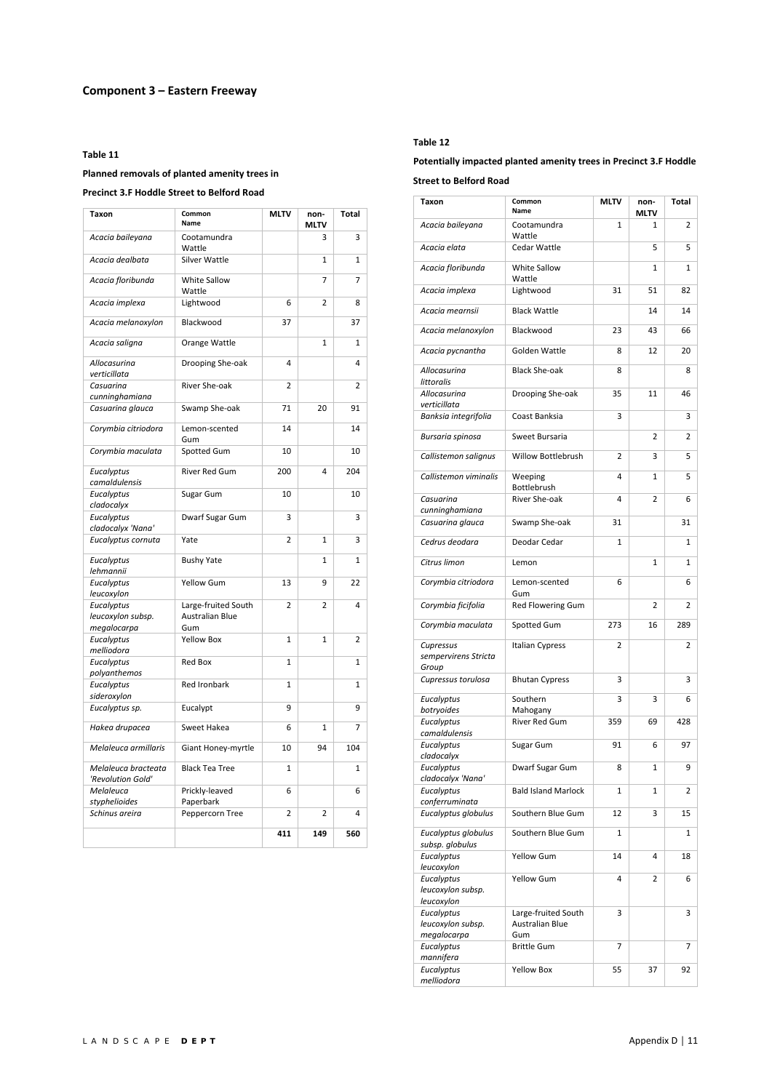#### **Planned removals of planted amenity trees in**

# **Precinct 3.F Hoddle Street to Belford Road**

| Taxon                                                        | Common<br>Name                                       | MLTV           | non-<br><b>MLTV</b> | Total          |
|--------------------------------------------------------------|------------------------------------------------------|----------------|---------------------|----------------|
| Acacia baileyana                                             | Cootamundra<br>Wattle                                |                | 3                   | 3              |
| Acacia dealbata                                              | Silver Wattle                                        |                | $\mathbf{1}$        | $\mathbf{1}$   |
| Acacia floribunda                                            | White Sallow<br>Wattle                               |                | 7                   | $\overline{7}$ |
| Acacia implexa                                               | Lightwood                                            | 6              | 2                   | 8              |
| Acacia melanoxylon                                           | Blackwood                                            | 37             |                     | 37             |
| Acacia saligna                                               | Orange Wattle                                        |                | 1                   | $\mathbf{1}$   |
| Allocasurina<br>verticillata                                 | Drooping She-oak                                     | 4              |                     | 4              |
| Casuarina                                                    | River She-oak                                        | 2              |                     | 2              |
| cunninghamiana                                               |                                                      |                |                     |                |
| Casuarina glauca                                             | Swamp She-oak                                        | 71             | 20                  | 91             |
| Corymbia citriodora                                          | Lemon-scented<br>Gum                                 | 14             |                     | 14             |
| Corymbia maculata                                            | Spotted Gum                                          | 10             |                     | 10             |
| Eucalyptus<br>camaldulensis                                  | River Red Gum                                        | 200            | 4                   | 204            |
| Eucalyptus<br>cladocalyx                                     | Sugar Gum                                            | 10             |                     | 10             |
| Eucalyptus                                                   | Dwarf Sugar Gum                                      | 3              |                     | 3              |
| cladocalyx 'Nana'<br>Eucalyptus cornuta                      | Yate                                                 | $\overline{2}$ | $\overline{1}$      | 3              |
| Eucalyptus<br>lehmannii                                      | <b>Bushy Yate</b>                                    |                | 1                   | 1              |
| Eucalyptus                                                   | Yellow Gum                                           | 13             | 9                   | 22             |
| leucoxylon<br>Eucalyptus<br>leucoxylon subsp.<br>megalocarpa | Large-fruited South<br><b>Australian Blue</b><br>Gum | $\overline{2}$ | 2                   | 4              |
| Eucalyptus<br>melliodora                                     | <b>Yellow Box</b>                                    | $\mathbf{1}$   | $\mathbf{1}$        | $\overline{2}$ |
| Eucalyptus<br>polyanthemos                                   | <b>Red Box</b>                                       | $\mathbf{1}$   |                     | $\mathbf{1}$   |
| Eucalyptus<br>sideroxylon                                    | <b>Red Ironbark</b>                                  | $\mathbf{1}$   |                     | $\mathbf{1}$   |
| Eucalyptus sp.                                               | Eucalypt                                             | 9              |                     | 9              |
| Hakea drupacea                                               | Sweet Hakea                                          | 6              | 1                   | 7              |
| Melaleuca armillaris                                         | Giant Honey-myrtle                                   | 10             | 94                  | 104            |
| Melaleuca bracteata<br>'Revolution Gold'                     | <b>Black Tea Tree</b>                                | 1              |                     | 1              |
| Melaleuca                                                    | Prickly-leaved                                       | 6              |                     | 6              |
| styphelioides<br>Schinus areira                              | Paperbark<br>Peppercorn Tree                         | $\overline{2}$ | 2                   | 4              |
|                                                              |                                                      |                |                     |                |
|                                                              |                                                      | 411            | 149                 | 560            |

#### **Table 12**

# **Potentially impacted planted amenity trees in Precinct 3.F Hoddle Street to Belford Road**

| Taxon                                         | Common<br>Name                         | <b>MLTV</b>    | non-<br>MLTV   | Total |
|-----------------------------------------------|----------------------------------------|----------------|----------------|-------|
| Acacia baileyana                              | Cootamundra<br>Wattle                  | 1              | 1              | 2     |
| Acacia elata                                  | Cedar Wattle                           |                | 5              | 5     |
| Acacia floribunda                             | White Sallow<br>Wattle                 |                | $\mathbf{1}$   | 1     |
| Acacia implexa                                | Lightwood                              | 31             | 51             | 82    |
| Acacia mearnsii                               | <b>Black Wattle</b>                    |                | 14             | 14    |
| Acacia melanoxylon                            | Blackwood                              | 23             | 43             | 66    |
| Acacia pycnantha                              | Golden Wattle                          | 8              | 12             | 20    |
| Allocasurina<br>littoralis                    | <b>Black She-oak</b>                   | 8              |                | 8     |
| Allocasurina<br>verticillata                  | Drooping She-oak                       | 35             | 11             | 46    |
| Banksia integrifolia                          | Coast Banksia                          | 3              |                | 3     |
| Bursaria spinosa                              | Sweet Bursaria                         |                | 2              | 2     |
| Callistemon salignus                          | Willow Bottlebrush                     | $\overline{2}$ | 3              | 5     |
| Callistemon viminalis                         | Weeping<br>Bottlebrush                 | 4              | 1              | 5     |
| Casuarina                                     | River She-oak                          | 4              | $\overline{2}$ | 6     |
| cunninghamiana<br>Casuarina glauca            | Swamp She-oak                          | 31             |                | 31    |
| Cedrus deodara                                | Deodar Cedar                           | $\mathbf{1}$   |                | 1     |
| Citrus limon                                  | Lemon                                  |                | $\mathbf{1}$   | 1     |
| Corymbia citriodora                           | Lemon-scented                          | 6              |                | 6     |
| Corymbia ficifolia                            | Gum<br>Red Flowering Gum               |                | 2              | 2     |
| Corymbia maculata                             | Spotted Gum                            | 273            | 16             | 289   |
| Cupressus<br>sempervirens Stricta             | <b>Italian Cypress</b>                 | 2              |                | 2     |
| Group<br>Cupressus torulosa                   | <b>Bhutan Cypress</b>                  | 3              |                | 3     |
| Eucalyptus                                    | Southern                               | 3              | 3              | 6     |
| botryoides                                    | Mahogany                               |                |                |       |
| Eucalyptus<br>camaldulensis                   | River Red Gum                          | 359            | 69             | 428   |
| Eucalyptus<br>cladocalyx                      | Sugar Gum                              | 91             | 6              | 97    |
| Eucalyptus<br>cladocalyx 'Nana'               | Dwarf Sugar Gum                        | 8              | 1              | 9     |
| Eucalyptus<br>conferruminata                  | <b>Bald Island Marlock</b>             | 1              | 1              | 2     |
| Eucalyptus globulus                           | Southern Blue Gum                      | 12             | 3              | 15    |
| Eucalyptus globulus                           | Southern Blue Gum                      | 1              |                | 1     |
| subsp. globulus<br>Eucalyptus                 | <b>Yellow Gum</b>                      | 14             | 4              | 18    |
| leucoxylon<br>Eucalyptus<br>leucoxylon subsp. | <b>Yellow Gum</b>                      | 4              | 2              | 6     |
| leucoxylon<br>Eucalyptus<br>leucoxylon subsp. | Large-fruited South<br>Australian Blue | 3              |                | 3     |
| megalocarpa<br>Eucalyptus                     | Gum<br><b>Brittle Gum</b>              | $\overline{7}$ |                | 7     |
| mannifera                                     |                                        |                |                |       |
| Eucalyptus<br>melliodora                      | <b>Yellow Box</b>                      | 55             | 37             | 92    |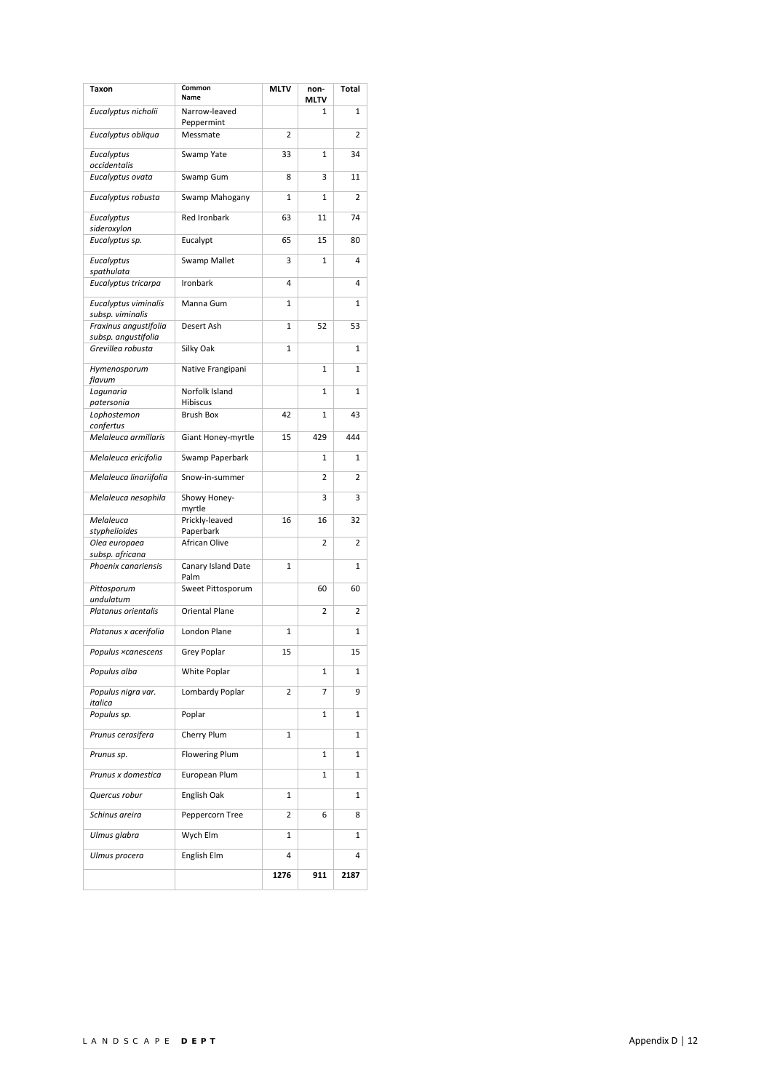| Taxon                                        | Common<br>Name              | <b>MLTV</b> | non-<br>MLTV | <b>Total</b>   |
|----------------------------------------------|-----------------------------|-------------|--------------|----------------|
| Eucalyptus nicholii                          | Narrow-leaved<br>Peppermint |             | 1            | $\mathbf{1}$   |
| Eucalyptus obliqua                           | Messmate                    | 2           |              | 2              |
| Eucalyptus<br>occidentalis                   | Swamp Yate                  | 33          | 1            | 34             |
| Eucalyptus ovata                             | Swamp Gum                   | 8           | 3            | 11             |
| Eucalyptus robusta                           | Swamp Mahogany              | 1           | 1            | $\overline{2}$ |
| Eucalyptus<br>sideroxylon                    | <b>Red Ironbark</b>         | 63          | 11           | 74             |
| Eucalyptus sp.                               | Eucalypt                    | 65          | 15           | 80             |
| Eucalyptus<br>spathulata                     | Swamp Mallet                | 3           | 1            | 4              |
| Eucalyptus tricarpa                          | Ironbark                    | 4           |              | 4              |
| Eucalyptus viminalis<br>subsp. viminalis     | Manna Gum                   | 1           |              | $\mathbf{1}$   |
| Fraxinus angustifolia<br>subsp. angustifolia | Desert Ash                  | 1           | 52           | 53             |
| Grevillea robusta                            | Silky Oak                   | 1           |              | $\mathbf{1}$   |
| Hymenosporum<br>flavum                       | Native Frangipani           |             | 1            | 1              |
| Lagunaria<br>patersonia                      | Norfolk Island<br>Hibiscus  |             | $\mathbf{1}$ | $\mathbf{1}$   |
| Lophostemon                                  | <b>Brush Box</b>            | 42          | 1            | 43             |
| confertus<br>Melaleuca armillaris            | Giant Honey-myrtle          | 15          | 429          | 444            |
| Melaleuca ericifolia                         | Swamp Paperbark             |             | 1            | $\mathbf{1}$   |
| Melaleuca linariifolia                       | Snow-in-summer              |             | 2            | 2              |
| Melaleuca nesophila                          | Showy Honey-<br>myrtle      |             | 3            | 3              |
| Melaleuca<br>styphelioides                   | Prickly-leaved<br>Paperbark | 16          | 16           | 32             |
| Olea europaea                                | African Olive               |             | 2            | 2              |
| subsp. africana<br>Phoenix canariensis       | Canary Island Date          | 1           |              | $\mathbf{1}$   |
| Pittosporum                                  | Palm<br>Sweet Pittosporum   |             | 60           | 60             |
| undulatum                                    |                             |             |              |                |
| Platanus orientalis                          | <b>Oriental Plane</b>       |             | 2            | 2              |
| Platanus x acerifolia                        | London Plane                | 1           |              | 1              |
| Populus ×canescens                           | <b>Grey Poplar</b>          | 15          |              | 15             |
| Populus alba                                 | White Poplar                |             | 1            | 1              |
| Populus nigra var.<br>italica                | Lombardy Poplar             | 2           | 7            | 9              |
| Populus sp.                                  | Poplar                      |             | 1            | 1              |
| Prunus cerasifera                            | Cherry Plum                 | 1           |              | 1              |
| Prunus sp.                                   | <b>Flowering Plum</b>       |             | 1            | $\mathbf{1}$   |
| Prunus x domestica                           | European Plum               |             | 1            | 1              |
| Quercus robur                                | English Oak                 | 1           |              | 1              |
| Schinus areira                               | Peppercorn Tree             | 2           | 6            | 8              |
| Ulmus glabra                                 | Wych Elm                    | 1           |              | 1              |
| Ulmus procera                                | English Elm                 | 4           |              | 4              |
|                                              |                             | 1276        | 911          | 2187           |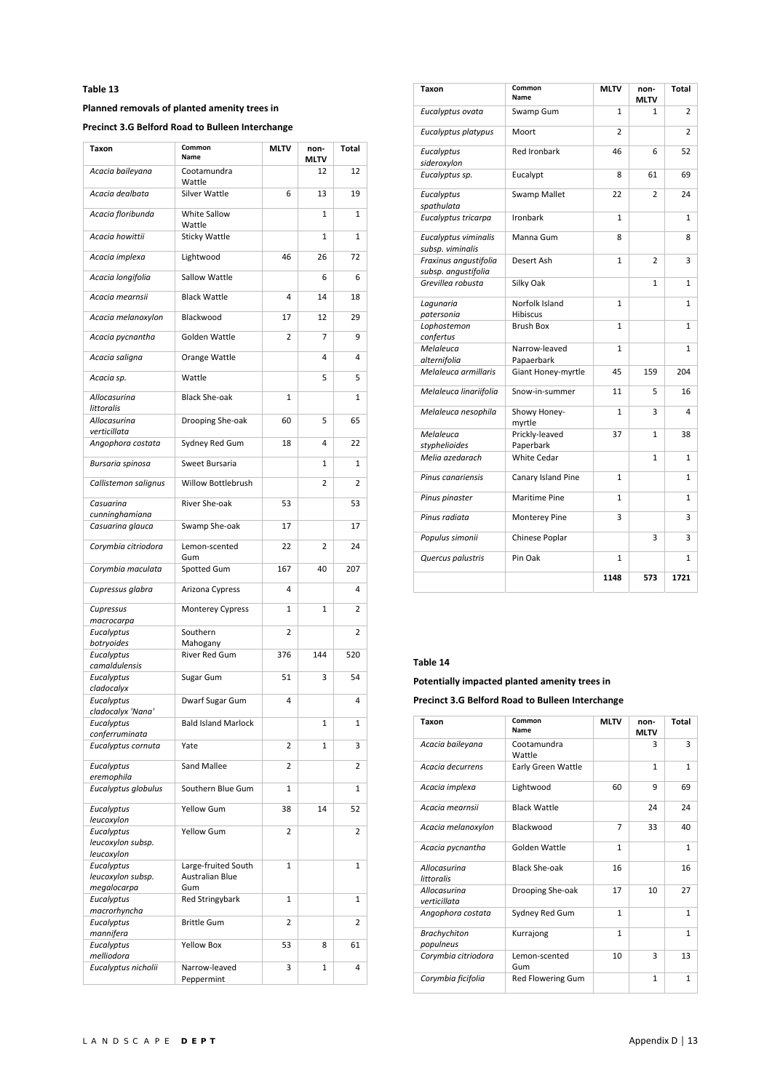# **Planned removals of planted amenity trees in**

**Precinct 3.G Belford Road to Bulleen Interchange** 

| Taxon                                         | Common<br>Name                         | <b>MLTV</b>    | non-<br>MLTV | Total |
|-----------------------------------------------|----------------------------------------|----------------|--------------|-------|
| Acacia baileyana                              | Cootamundra<br>Wattle                  |                | 12           | 12    |
| Acacia dealbata                               | <b>Silver Wattle</b>                   | 6              | 13           | 19    |
| Acacia floribunda                             | White Sallow<br>Wattle                 |                | 1            | 1     |
| Acacia howittii                               | <b>Sticky Wattle</b>                   |                | $\mathbf{1}$ | 1     |
| Acacia implexa                                | Lightwood                              | 46             | 26           | 72    |
| Acacia longifolia                             | Sallow Wattle                          |                | 6            | 6     |
| Acacia mearnsii                               | <b>Black Wattle</b>                    | 4              | 14           | 18    |
| Acacia melanoxylon                            | Blackwood                              | 17             | 12           | 29    |
| Acacia pycnantha                              | Golden Wattle                          | 2              | 7            | 9     |
| Acacia saligna                                | Orange Wattle                          |                | 4            | 4     |
| Acacia sp.                                    | Wattle                                 |                | 5            | 5     |
| Allocasurina<br>littoralis                    | <b>Black She-oak</b>                   | 1              |              | 1     |
| Allocasurina<br>verticillata                  | Drooping She-oak                       | 60             | 5            | 65    |
| Angophora costata                             | Sydney Red Gum                         | 18             | 4            | 22    |
| Bursaria spinosa                              | Sweet Bursaria                         |                | 1            | 1     |
| Callistemon salignus                          | Willow Bottlebrush                     |                | 2            | 2     |
| Casuarina<br>cunninghamiana                   | River She-oak                          | 53             |              | 53    |
| Casuarina glauca                              | Swamp She-oak                          | 17             |              | 17    |
| Corymbia citriodora                           | Lemon-scented<br>Gum                   | 22             | 2            | 24    |
| Corymbia maculata                             | Spotted Gum                            | 167            | 40           | 207   |
| Cupressus glabra                              | Arizona Cypress                        | 4              |              | 4     |
| Cupressus<br>macrocarpa                       | <b>Monterey Cypress</b>                | $\mathbf{1}$   | 1            | 2     |
| Eucalyptus                                    | Southern                               | 2              |              | 2     |
| botryoides<br>Eucalyptus                      | Mahogany<br>River Red Gum              | 376            | 144          | 520   |
| camaldulensis                                 |                                        |                |              |       |
| Eucalyptus<br>cladocalyx                      | Sugar Gum                              | 51             | 3            | 54    |
| Eucalyptus<br>cladocalyx 'Nana'               | Dwarf Sugar Gum                        | 4              |              | 4     |
| Eucalyptus<br>conferruminata                  | <b>Bald Island Marlock</b>             |                | 1            | 1     |
| Eucalyptus cornuta                            | Yate                                   | $\overline{2}$ | 1            | 3     |
| Eucalyptus<br>eremophila                      | Sand Mallee                            | 2              |              | 2     |
| Eucalyptus globulus                           | Southern Blue Gum                      | 1              |              | 1     |
| Eucalyptus<br>leucoxylon                      | Yellow Gum                             | 38             | 14           | 52    |
| Eucalyptus<br>leucoxylon subsp.               | <b>Yellow Gum</b>                      | 2              |              | 2     |
| leucoxylon<br>Eucalyptus<br>leucoxylon subsp. | Large-fruited South<br>Australian Blue | 1              |              | 1     |
| megalocarpa<br>Eucalyptus<br>macrorhyncha     | Gum<br><b>Red Stringybark</b>          | 1              |              | 1     |
| Eucalyptus<br>mannifera                       | <b>Brittle Gum</b>                     | 2              |              | 2     |
| Eucalyptus<br>melliodora                      | <b>Yellow Box</b>                      | 53             | 8            | 61    |
| Eucalyptus nicholii                           | Narrow-leaved<br>Peppermint            | 3              | 1            | 4     |

| Taxon                                        | Common<br>Name                    | <b>MLTV</b>    | non-<br><b>MLTV</b> | Total          |
|----------------------------------------------|-----------------------------------|----------------|---------------------|----------------|
| Eucalyptus ovata                             | Swamp Gum                         | $\mathbf{1}$   | 1                   | $\overline{2}$ |
| Eucalyptus platypus                          | Moort                             | $\overline{2}$ |                     | $\overline{2}$ |
| Eucalyptus<br>sideroxylon                    | <b>Red Ironbark</b>               | 46             | 6                   | 52             |
| Eucalyptus sp.                               | Eucalypt                          | 8              | 61                  | 69             |
| Eucalyptus<br>spathulata                     | <b>Swamp Mallet</b>               | 22             | $\overline{2}$      | 24             |
| Eucalyptus tricarpa                          | Ironbark                          | $\mathbf{1}$   |                     | 1              |
| Eucalyptus viminalis<br>subsp. viminalis     | Manna Gum                         | 8              |                     | 8              |
| Fraxinus angustifolia<br>subsp. angustifolia | Desert Ash                        | $\mathbf{1}$   | $\overline{2}$      | 3              |
| Grevillea robusta                            | Silky Oak                         |                | $\mathbf{1}$        | 1              |
| Lagunaria<br>patersonia                      | Norfolk Island<br><b>Hibiscus</b> | 1              |                     | 1              |
| Lophostemon<br>confertus                     | <b>Brush Box</b>                  | 1              |                     | 1              |
| Melaleuca<br>alternifolia                    | Narrow-leaved<br>Papaerbark       | $\mathbf{1}$   |                     | $\mathbf{1}$   |
| Melaleuca armillaris                         | Giant Honey-myrtle                | 45             | 159                 | 204            |
| Melaleuca linariifolia                       | Snow-in-summer                    | 11             | 5                   | 16             |
| Melaleuca nesophila                          | Showy Honey-<br>myrtle            | $\mathbf{1}$   | 3                   | 4              |
| Melaleuca<br>styphelioides                   | Prickly-leaved<br>Paperbark       | 37             | $\mathbf{1}$        | 38             |
| Melia azedarach                              | <b>White Cedar</b>                |                | $\mathbf{1}$        | 1              |
| Pinus canariensis                            | Canary Island Pine                | $\mathbf{1}$   |                     | $\mathbf{1}$   |
| Pinus pinaster                               | <b>Maritime Pine</b>              | $\mathbf{1}$   |                     | $\mathbf{1}$   |
| Pinus radiata                                | Monterey Pine                     | 3              |                     | 3              |
| Populus simonii                              | Chinese Poplar                    |                | 3                   | 3              |
| Quercus palustris                            | Pin Oak                           | $\mathbf{1}$   |                     | 1              |
|                                              |                                   | 1148           | 573                 | 1721           |

# **Table 14**

**Potentially impacted planted amenity trees in** 

**Precinct 3.G Belford Road to Bulleen Interchange** 

| Taxon                            | Common<br>Name           | <b>MLTV</b>  | non-<br><b>MLTV</b> | Total        |
|----------------------------------|--------------------------|--------------|---------------------|--------------|
| Acacia baileyana                 | Cootamundra<br>Wattle    |              | 3                   | 3            |
| Acacia decurrens                 | Early Green Wattle       |              | 1                   | $\mathbf{1}$ |
| Acacia implexa                   | Lightwood                | 60           | 9                   | 69           |
| Acacia mearnsii                  | <b>Black Wattle</b>      |              | 24                  | 24           |
| Acacia melanoxylon               | Blackwood                | 7            | 33                  | 40           |
| Acacia pycnantha                 | Golden Wattle            | $\mathbf{1}$ |                     | $\mathbf{1}$ |
| Allocasurina<br>littoralis       | <b>Black She-oak</b>     | 16           |                     | 16           |
| Allocasurina<br>verticillata     | Drooping She-oak         | 17           | 10                  | 27           |
| Angophora costata                | Sydney Red Gum           | $\mathbf{1}$ |                     | $\mathbf{1}$ |
| <b>Brachychiton</b><br>populneus | Kurrajong                | $\mathbf{1}$ |                     | $\mathbf{1}$ |
| Corymbia citriodora              | Lemon-scented<br>Gum     | 10           | 3                   | 13           |
| Corymbia ficifolia               | <b>Red Flowering Gum</b> |              | $\mathbf{1}$        | $\mathbf{1}$ |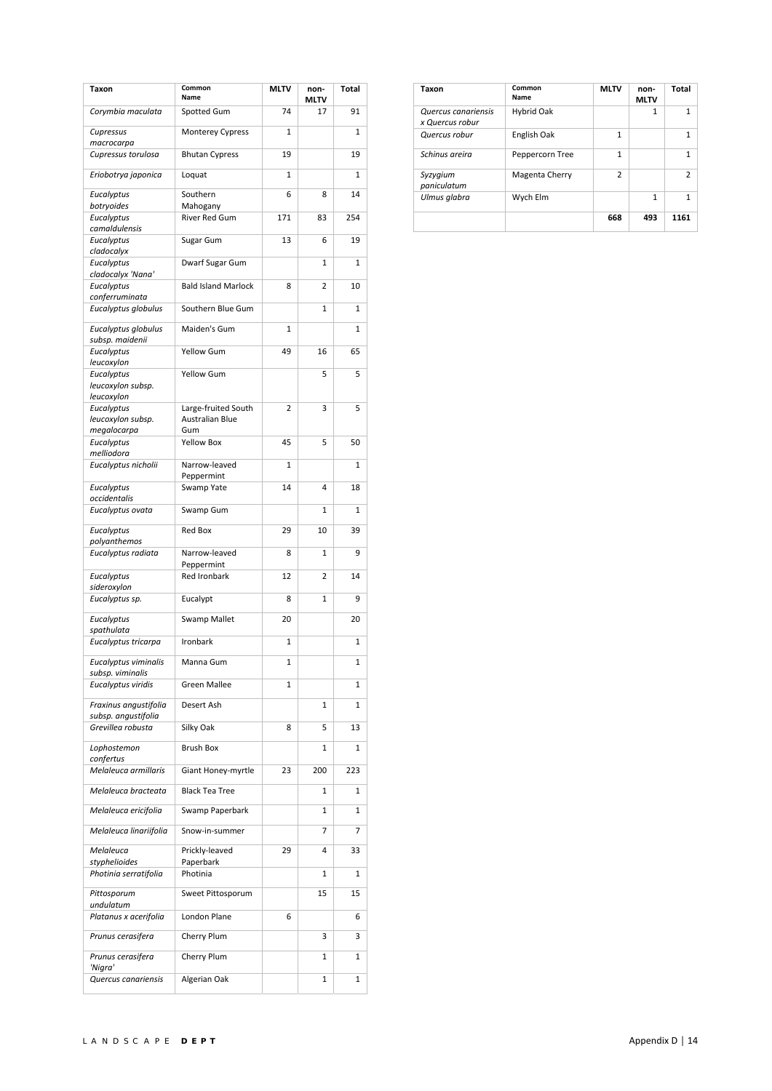| Taxon                                          | Common<br><b>Name</b>                         | <b>MLTV</b> | non-<br>MLTV   | Total |
|------------------------------------------------|-----------------------------------------------|-------------|----------------|-------|
| Corymbia maculata                              | Spotted Gum                                   | 74          | 17             | 91    |
| Cupressus<br>macrocarpa                        | <b>Monterey Cypress</b>                       | 1           |                | 1     |
| Cupressus torulosa                             | <b>Bhutan Cypress</b>                         | 19          |                | 19    |
| Eriobotrya japonica                            | Loquat                                        | 1           |                | 1     |
| Eucalyptus                                     | Southern                                      | 6           | 8              | 14    |
| botryoides<br>Eucalyptus                       | Mahogany<br><b>River Red Gum</b>              | 171         | 83             | 254   |
| camaldulensis<br>Eucalyptus                    | Sugar Gum                                     | 13          | 6              | 19    |
| cladocalyx<br>Eucalyptus                       | Dwarf Sugar Gum                               |             | 1              | 1     |
| cladocalyx 'Nana'<br>Eucalyptus                | <b>Bald Island Marlock</b>                    | 8           | $\overline{2}$ | 10    |
| conferruminata                                 |                                               |             |                |       |
| Eucalyptus globulus                            | Southern Blue Gum                             |             | 1              | 1     |
| Eucalyptus globulus<br>subsp. maidenii         | Maiden's Gum                                  | 1           |                | 1     |
| Eucalyptus<br>leucoxylon                       | Yellow Gum                                    | 49          | 16             | 65    |
| Eucalyptus<br>leucoxylon subsp.<br>leucoxylon  | Yellow Gum                                    |             | 5              | 5     |
| Eucalyptus<br>leucoxylon subsp.<br>megalocarpa | Large-fruited South<br>Australian Blue<br>Gum | 2           | 3              | 5     |
| Eucalyptus<br>melliodora                       | <b>Yellow Box</b>                             | 45          | 5              | 50    |
| Eucalyptus nicholii                            | Narrow-leaved                                 | 1           |                | 1     |
| Eucalyptus                                     | Peppermint<br>Swamp Yate                      | 14          | 4              | 18    |
| occidentalis<br>Eucalyptus ovata               | Swamp Gum                                     |             | 1              | 1     |
| Eucalyptus                                     | Red Box                                       | 29          | 10             | 39    |
| polyanthemos<br>Eucalyptus radiata             | Narrow-leaved                                 | 8           | 1              | 9     |
| Eucalyptus                                     | Peppermint<br>Red Ironbark                    | 12          | $\overline{2}$ | 14    |
| sideroxylon<br>Eucalyptus sp.                  | Eucalypt                                      | 8           | 1              | 9     |
| Eucalyptus                                     | <b>Swamp Mallet</b>                           | 20          |                | 20    |
| spathulata<br>Eucalyptus tricarpa              | Ironbark                                      | 1           |                | 1     |
| Eucalyptus viminalis                           |                                               |             |                |       |
| subsp. viminalis                               | Manna Gum                                     | 1           |                | 1     |
| Eucalyptus viridis                             | <b>Green Mallee</b>                           | 1           |                | 1     |
| Fraxinus angustifolia<br>subsp. angustifolia   | Desert Ash                                    |             | 1              | 1     |
| Grevillea robusta                              | Silky Oak                                     | 8           | 5              | 13    |
| Lophostemon<br>confertus                       | <b>Brush Box</b>                              |             | 1              | 1     |
| Melaleuca armillaris                           | Giant Honey-myrtle                            | 23          | 200            | 223   |
| Melaleuca bracteata                            | <b>Black Tea Tree</b>                         |             | 1              | 1     |
| Melaleuca ericifolia                           | Swamp Paperbark                               |             | 1              | 1     |
| Melaleuca linariifolia                         | Snow-in-summer                                |             | 7              | 7     |
| Melaleuca<br>styphelioides                     | Prickly-leaved<br>Paperbark                   | 29          | 4              | 33    |
| Photinia serratifolia                          | Photinia                                      |             | 1              | 1     |
| Pittosporum<br>undulatum                       | Sweet Pittosporum                             |             | 15             | 15    |
| Platanus x acerifolia                          | London Plane                                  | 6           |                | 6     |
| Prunus cerasifera                              | Cherry Plum                                   |             | 3              | 3     |
| Prunus cerasifera<br>'Nigra'                   | Cherry Plum                                   |             | 1              | 1     |
| Quercus canariensis                            | Algerian Oak                                  |             | 1              | 1     |

| Taxon                                  | Common<br>Name  | <b>MLTV</b>    | non-<br><b>MLTV</b> | Total          |
|----------------------------------------|-----------------|----------------|---------------------|----------------|
| Quercus canariensis<br>x Quercus robur | Hybrid Oak      |                | 1                   | 1              |
| Quercus robur                          | English Oak     | $\mathbf{1}$   |                     | 1              |
| Schinus areira                         | Peppercorn Tree | $\mathbf{1}$   |                     | 1              |
| Syzygium<br>paniculatum                | Magenta Cherry  | $\overline{2}$ |                     | $\overline{2}$ |
| Ulmus glabra                           | Wych Elm        |                | 1                   | 1              |
|                                        |                 | 668            | 493                 | 1161           |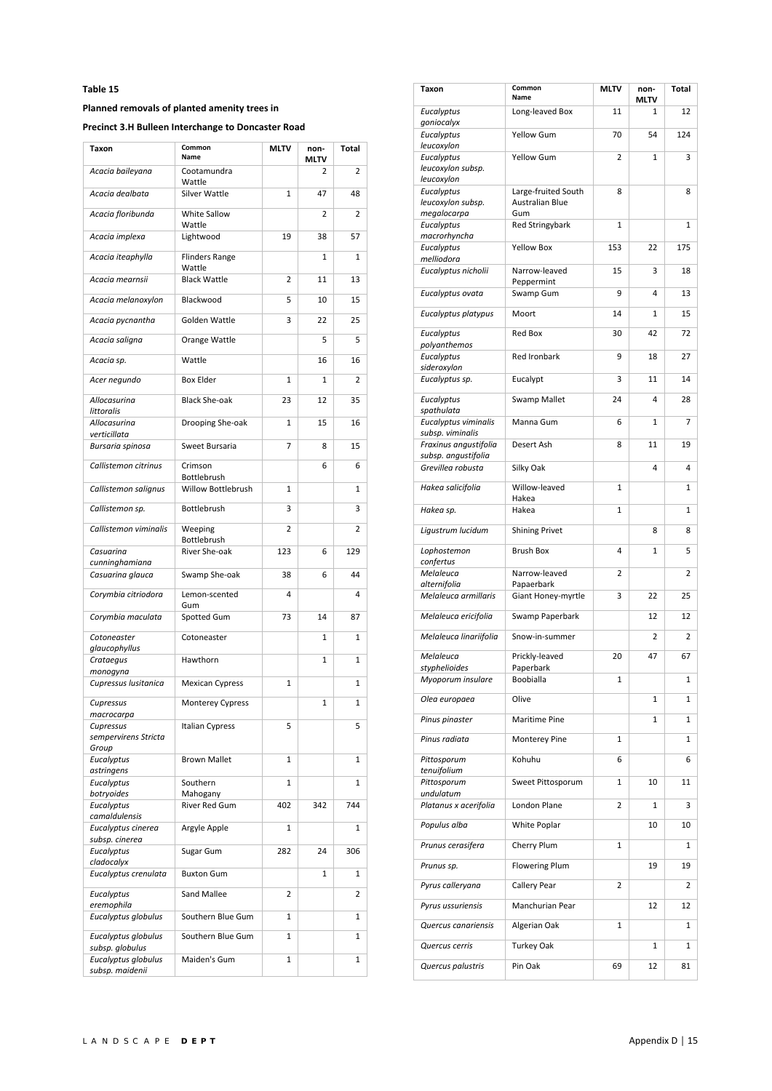#### **Planned removals of planted amenity trees in**

**Precinct 3.H Bulleen Interchange to Doncaster Road** 

| Taxon                                      | Common<br>Name                  | <b>MLTV</b>  | non-<br>MLTV | Total          |
|--------------------------------------------|---------------------------------|--------------|--------------|----------------|
| Acacia baileyana                           | Cootamundra<br>Wattle           |              | 2            | 2              |
| Acacia dealbata                            | Silver Wattle                   | $\mathbf{1}$ | 47           | 48             |
| Acacia floribunda                          | White Sallow<br>Wattle          |              | 2            | 2              |
| Acacia implexa                             | Lightwood                       | 19           | 38           | 57             |
| Acacia iteaphylla                          | <b>Flinders Range</b><br>Wattle |              | 1            | 1              |
| Acacia mearnsii                            | <b>Black Wattle</b>             | 2            | 11           | 13             |
| Acacia melanoxylon                         | Blackwood                       | 5            | 10           | 15             |
| Acacia pycnantha                           | Golden Wattle                   | 3            | 22           | 25             |
| Acacia saligna                             | Orange Wattle                   |              | 5            | 5              |
| Acacia sp.                                 | Wattle                          |              | 16           | 16             |
| Acer negundo                               | <b>Box Elder</b>                | 1            | 1            | $\overline{2}$ |
| Allocasurina<br>littoralis                 | <b>Black She-oak</b>            | 23           | 12           | 35             |
| Allocasurina<br>verticillata               | Drooping She-oak                | 1            | 15           | 16             |
| Bursaria spinosa                           | Sweet Bursaria                  | 7            | 8            | 15             |
| Callistemon citrinus                       | Crimson<br>Bottlebrush          |              | 6            | 6              |
| Callistemon salignus                       | Willow Bottlebrush              | 1            |              | 1              |
| Callistemon sp.                            | Bottlebrush                     | 3            |              | 3              |
| Callistemon viminalis                      | Weeping<br>Bottlebrush          | 2            |              | 2              |
| Casuarina                                  | River She-oak                   | 123          | 6            | 129            |
| cunninghamiana<br>Casuarina glauca         | Swamp She-oak                   | 38           | 6            | 44             |
| Corymbia citriodora                        | Lemon-scented                   | 4            |              | 4              |
| Corymbia maculata                          | Gum<br>Spotted Gum              | 73           | 14           | 87             |
| Cotoneaster                                | Cotoneaster                     |              | 1            | 1              |
| glaucophyllus<br>Crataegus                 | Hawthorn                        |              | $\mathbf{1}$ | $\mathbf{1}$   |
| monogyna                                   |                                 |              |              |                |
| Cupressus Iusitanica                       | <b>Mexican Cypress</b>          | 1            |              | 1              |
| Cupressus<br>macrocarpa                    | <b>Monterey Cypress</b>         |              | 1            | 1              |
| Cupressus<br>sempervirens Stricta<br>Group | <b>Italian Cypress</b>          | 5            |              | 5              |
| Eucalyptus<br>astringens                   | <b>Brown Mallet</b>             | 1            |              | 1              |
| Eucalyptus<br>botryoides                   | Southern<br>Mahogany            | 1            |              | 1              |
| Eucalyptus                                 | River Red Gum                   | 402          | 342          | 744            |
| camaldulensis<br>Eucalyptus cinerea        | Argyle Apple                    | 1            |              | 1              |
| subsp. cinerea<br>Eucalyptus               | Sugar Gum                       | 282          | 24           | 306            |
| cladocalyx<br>Eucalyptus crenulata         | <b>Buxton Gum</b>               |              | 1            | 1              |
| Eucalyptus                                 | Sand Mallee                     | 2            |              | 2              |
| eremophila                                 |                                 |              |              |                |
| Eucalyptus globulus                        | Southern Blue Gum               | 1            |              | 1              |
| Eucalyptus globulus<br>subsp. globulus     | Southern Blue Gum               | 1            |              | 1              |
| Eucalyptus globulus<br>subsp. maidenii     | Maiden's Gum                    | 1            |              | 1              |

| Taxon                                         | Common<br>Name                                | <b>MLTV</b>  | non-<br>MLTV | <b>Total</b> |
|-----------------------------------------------|-----------------------------------------------|--------------|--------------|--------------|
| Eucalyptus<br>goniocalyx                      | Long-leaved Box                               | 11           | 1            | 12           |
| Eucalyptus<br>leucoxylon                      | Yellow Gum                                    | 70           | 54           | 124          |
| Eucalyptus<br>leucoxylon subsp.               | <b>Yellow Gum</b>                             | 2            | 1            | 3            |
| leucoxylon<br>Eucalyptus<br>leucoxylon subsp. | Large-fruited South<br>Australian Blue<br>Gum | 8            |              | 8            |
| megalocarpa<br>Eucalyptus<br>macrorhyncha     | <b>Red Stringybark</b>                        | 1            |              | 1            |
| Eucalyptus<br>melliodora                      | <b>Yellow Box</b>                             | 153          | 22           | 175          |
| Eucalyptus nicholii                           | Narrow-leaved<br>Peppermint                   | 15           | 3            | 18           |
| Eucalyptus ovata                              | Swamp Gum                                     | 9            | 4            | 13           |
| Eucalyptus platypus                           | Moort                                         | 14           | 1            | 15           |
| Eucalyptus<br>polyanthemos                    | Red Box                                       | 30           | 42           | 72           |
| Eucalyptus<br>sideroxylon                     | Red Ironbark                                  | 9            | 18           | 27           |
| Eucalyptus sp.                                | Eucalypt                                      | 3            | 11           | 14           |
| Eucalyptus<br>spathulata                      | Swamp Mallet                                  | 24           | 4            | 28           |
| Eucalyptus viminalis<br>subsp. viminalis      | Manna Gum                                     | 6            | $\mathbf{1}$ | 7            |
| Fraxinus angustifolia<br>subsp. angustifolia  | Desert Ash                                    | 8            | 11           | 19           |
| Grevillea robusta                             | Silky Oak                                     |              | 4            | 4            |
| Hakea salicifolia                             | Willow-leaved<br>Hakea                        | 1            |              | 1            |
| Hakea sp.                                     | Hakea                                         | $\mathbf{1}$ |              | 1            |
| Ligustrum lucidum                             | <b>Shining Privet</b>                         |              | 8            | 8            |
| Lophostemon<br>confertus                      | <b>Brush Box</b>                              | 4            | 1            | 5            |
| Melaleuca<br>alternifolia                     | Narrow-leaved<br>Papaerbark                   | 2            |              | 2            |
| Melaleuca armillaris                          | Giant Honey-myrtle                            | 3            | 22           | 25           |
| Melaleuca ericifolia                          | Swamp Paperbark                               |              | 12           | 12           |
| Melaleuca linariifolia                        | Snow-in-summer                                |              | 2            | 2            |
| Melaleuca<br>styphelioides                    | Prickly-leaved<br>Paperbark                   | 20           | 47           | 67           |
| Myoporum insulare                             | Boobialla                                     | $\mathbf{1}$ |              | 1            |
| Olea europaea                                 | Olive                                         |              | 1            | 1            |
| Pinus pinaster                                | Maritime Pine                                 |              | 1            | 1            |
| Pinus radiata                                 | Monterey Pine                                 | 1            |              | 1            |
| Pittosporum<br>tenuifolium                    | Kohuhu                                        | 6            |              | 6            |
| Pittosporum<br>undulatum                      | Sweet Pittosporum                             | 1            | 10           | 11           |
| Platanus x acerifolia                         | London Plane                                  | 2            | 1            | 3            |
| Populus alba                                  | White Poplar                                  |              | 10           | 10           |
| Prunus cerasifera                             | Cherry Plum                                   | 1            |              | 1            |
| Prunus sp.                                    | <b>Flowering Plum</b>                         |              | 19           | 19           |
| Pyrus calleryana                              | Callery Pear                                  | 2            |              | 2            |
| Pyrus ussuriensis<br>Quercus canariensis      | Manchurian Pear                               | 1            | 12           | 12<br>1      |
| Quercus cerris                                | Algerian Oak<br>Turkey Oak                    |              | 1            | 1            |
| Quercus palustris                             | Pin Oak                                       | 69           | 12           | 81           |
|                                               |                                               |              |              |              |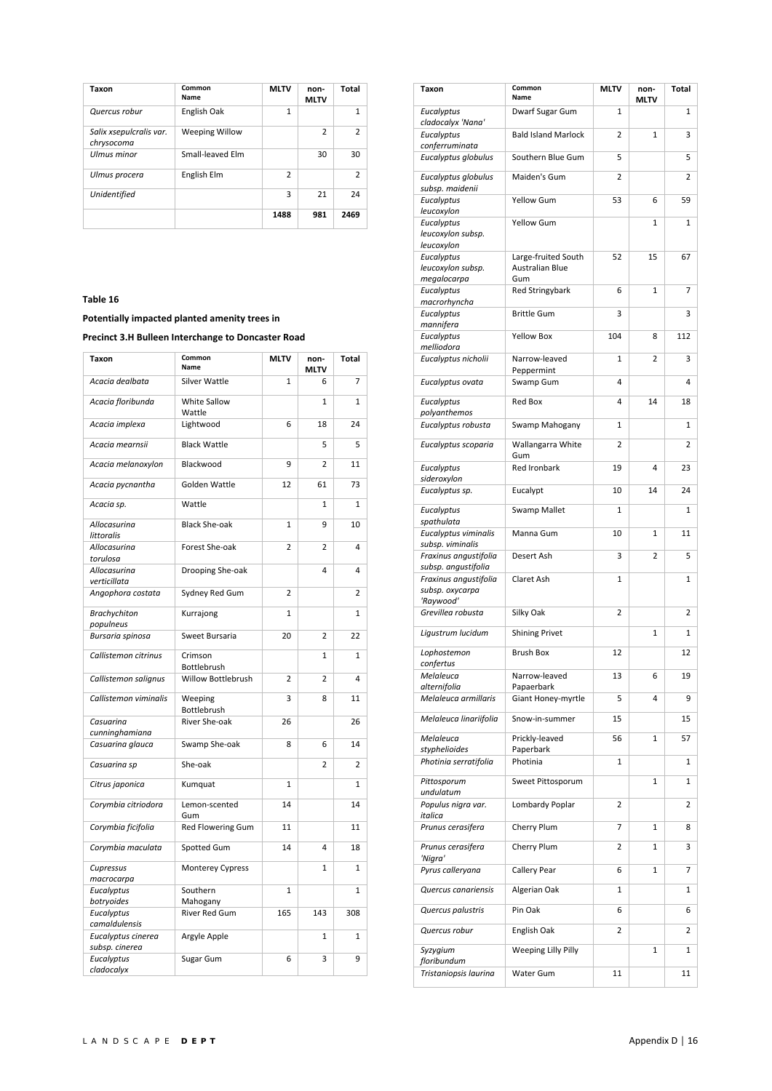| Taxon                                 | Common<br>Name   | <b>MLTV</b>    | non-<br><b>MLTV</b> | Total          |
|---------------------------------------|------------------|----------------|---------------------|----------------|
| Quercus robur                         | English Oak      | 1              |                     | 1              |
| Salix xsepulcralis var.<br>chrysocoma | Weeping Willow   |                | $\mathcal{P}$       | $\overline{2}$ |
| Ulmus minor                           | Small-leaved Elm |                | 30                  | 30             |
| Ulmus procera                         | English Elm      | $\overline{2}$ |                     | $\overline{2}$ |
| Unidentified                          |                  | 3              | 21                  | 24             |
|                                       |                  | 1488           | 981                 | 2469           |

**Potentially impacted planted amenity trees in** 

**Precinct 3.H Bulleen Interchange to Doncaster Road** 

| <b>Taxon</b>                         | Common<br>Name         | <b>MLTV</b>    | non-<br><b>MLTV</b> | Total        |
|--------------------------------------|------------------------|----------------|---------------------|--------------|
| Acacia dealbata                      | Silver Wattle          | 1              | 6                   | 7            |
| Acacia floribunda                    | White Sallow<br>Wattle |                | 1                   | $\mathbf{1}$ |
| Acacia implexa                       | Lightwood              | 6              | 18                  | 24           |
| Acacia mearnsii                      | <b>Black Wattle</b>    |                | 5                   | 5            |
| Acacia melanoxylon                   | Blackwood              | 9              | $\overline{2}$      | 11           |
| Acacia pycnantha                     | Golden Wattle          | 12             | 61                  | 73           |
| Acacia sp.                           | Wattle                 |                | $\mathbf{1}$        | 1            |
| Allocasurina<br>littoralis           | <b>Black She-oak</b>   | $\mathbf{1}$   | 9                   | 10           |
| Allocasurina<br>torulosa             | Forest She-oak         | 2              | $\overline{2}$      | 4            |
| Allocasurina<br>verticillata         | Drooping She-oak       |                | 4                   | 4            |
| Angophora costata                    | Sydney Red Gum         | 2              |                     | 2            |
| <b>Brachychiton</b><br>populneus     | Kurrajong              | 1              |                     | 1            |
| Bursaria spinosa                     | Sweet Bursaria         | 20             | $\overline{2}$      | 22           |
| Callistemon citrinus                 | Crimson<br>Bottlebrush |                | $\mathbf{1}$        | $\mathbf{1}$ |
| Callistemon salignus                 | Willow Bottlebrush     | $\overline{2}$ | $\overline{2}$      | 4            |
| Callistemon viminalis                | Weeping<br>Bottlebrush | 3              | 8                   | 11           |
| Casuarina<br>cunninghamiana          | River She-oak          | 26             |                     | 26           |
| Casuarina glauca                     | Swamp She-oak          | 8              | 6                   | 14           |
| Casuarina sp                         | She-oak                |                | $\overline{2}$      | 2            |
| Citrus japonica                      | Kumquat                | $\mathbf{1}$   |                     | 1            |
| Corymbia citriodora                  | Lemon-scented<br>Gum   | 14             |                     | 14           |
| Corymbia ficifolia                   | Red Flowering Gum      | 11             |                     | 11           |
| Corymbia maculata                    | Spotted Gum            | 14             | 4                   | 18           |
| Cupressus<br>macrocarpa              | Monterey Cypress       |                | $\mathbf{1}$        | $\mathbf{1}$ |
| Eucalyptus                           | Southern               | $\overline{1}$ |                     | $\mathbf{1}$ |
| botryoides                           | Mahogany               |                |                     |              |
| Eucalyptus                           | River Red Gum          | 165            | 143                 | 308          |
| camaldulensis                        |                        |                |                     |              |
| Eucalyptus cinerea<br>subsp. cinerea | Argyle Apple           |                | $\mathbf{1}$        | $\mathbf{1}$ |
| Eucalyptus<br>cladocalyx             | Sugar Gum              | 6              | 3                   | 9            |

| Taxon                                          | Common<br>Name                                | <b>MLTV</b> | non-<br><b>MLTV</b> | <b>Total</b> |
|------------------------------------------------|-----------------------------------------------|-------------|---------------------|--------------|
| Eucalyptus<br>cladocalyx 'Nana'                | Dwarf Sugar Gum                               | 1           |                     | 1            |
| Eucalyptus<br>conferruminata                   | <b>Bald Island Marlock</b>                    | 2           | $\mathbf{1}$        | 3            |
| Eucalyptus globulus                            | Southern Blue Gum                             | 5           |                     | 5            |
| Eucalyptus globulus<br>subsp. maidenii         | Maiden's Gum                                  | 2           |                     | 2            |
| Eucalyptus<br>leucoxylon                       | <b>Yellow Gum</b>                             | 53          | 6                   | 59           |
| Eucalyptus<br>leucoxylon subsp.<br>leucoxylon  | <b>Yellow Gum</b>                             |             | $\mathbf{1}$        | 1            |
| Eucalyptus<br>leucoxylon subsp.<br>megalocarpa | Large-fruited South<br>Australian Blue<br>Gum | 52          | 15                  | 67           |
| Eucalyptus<br>macrorhyncha                     | <b>Red Stringybark</b>                        | 6           | 1                   | 7            |
| Eucalyptus<br>mannifera                        | <b>Brittle Gum</b>                            | 3           |                     | 3            |
| Eucalyptus<br>melliodora                       | <b>Yellow Box</b>                             | 104         | 8                   | 112          |
| Eucalyptus nicholii                            | Narrow-leaved<br>Peppermint                   | 1           | 2                   | 3            |
| Eucalyptus ovata                               | Swamp Gum                                     | 4           |                     | 4            |
| Eucalyptus<br>polyanthemos                     | Red Box                                       | 4           | 14                  | 18           |
| Eucalyptus robusta                             | Swamp Mahogany                                | 1           |                     | 1            |
| Eucalyptus scoparia                            | Wallangarra White<br>Gum                      | 2           |                     | 2            |
| Eucalyptus<br>sideroxylon                      | <b>Red Ironbark</b>                           | 19          | 4                   | 23           |
| Eucalyptus sp.                                 | Eucalypt                                      | 10          | 14                  | 24           |
| Eucalyptus<br>spathulata                       | <b>Swamp Mallet</b>                           | 1           |                     | 1            |
| Eucalyptus viminalis<br>subsp. viminalis       | Manna Gum                                     | 10          | 1                   | 11           |
| Fraxinus angustifolia<br>subsp. angustifolia   | Desert Ash                                    | 3           | 2                   | 5            |
| Fraxinus angustifolia<br>subsp. oxycarpa       | Claret Ash                                    | 1           |                     | 1            |
| 'Raywood'<br>Grevillea robusta                 | Silky Oak                                     | 2           |                     | 2            |
| Ligustrum lucidum                              | <b>Shining Privet</b>                         |             | 1                   | 1            |
| Lophostemon<br>confertus                       | <b>Brush Box</b>                              | 12          |                     | 12           |
| Melaleuca                                      | Narrow-leaved                                 | 13          | 6                   | 19           |
| alternifolia<br>Melaleuca armillaris           | Papaerbark<br>Giant Honey-myrtle              | 5           | 4                   | 9            |
| Melaleuca linariifolia                         | Snow-in-summer                                | 15          |                     | 15           |
| Melaleuca                                      | Prickly-leaved<br>Paperbark                   | 56          | 1                   | 57           |
| styphelioides<br>Photinia serratifolia         | Photinia                                      | 1           |                     | 1            |
| Pittosporum<br>undulatum                       | Sweet Pittosporum                             |             | 1                   | 1            |
| Populus nigra var.<br>italica                  | Lombardy Poplar                               | 2           |                     | 2            |
| Prunus cerasifera                              | Cherry Plum                                   | 7           | 1                   | 8            |
| Prunus cerasifera<br>'Nigra'                   | Cherry Plum                                   | 2           | 1                   | 3            |
| Pyrus calleryana                               | Callery Pear                                  | 6           | 1                   | 7            |
| Quercus canariensis                            | Algerian Oak                                  | 1           |                     | 1            |
| Quercus palustris                              | Pin Oak                                       | 6           |                     | 6            |
| Quercus robur                                  | English Oak                                   | 2           |                     | 2            |
| Syzygium<br>floribundum                        | <b>Weeping Lilly Pilly</b>                    |             | 1                   | 1            |
| Tristaniopsis laurina                          | Water Gum                                     | 11          |                     | 11           |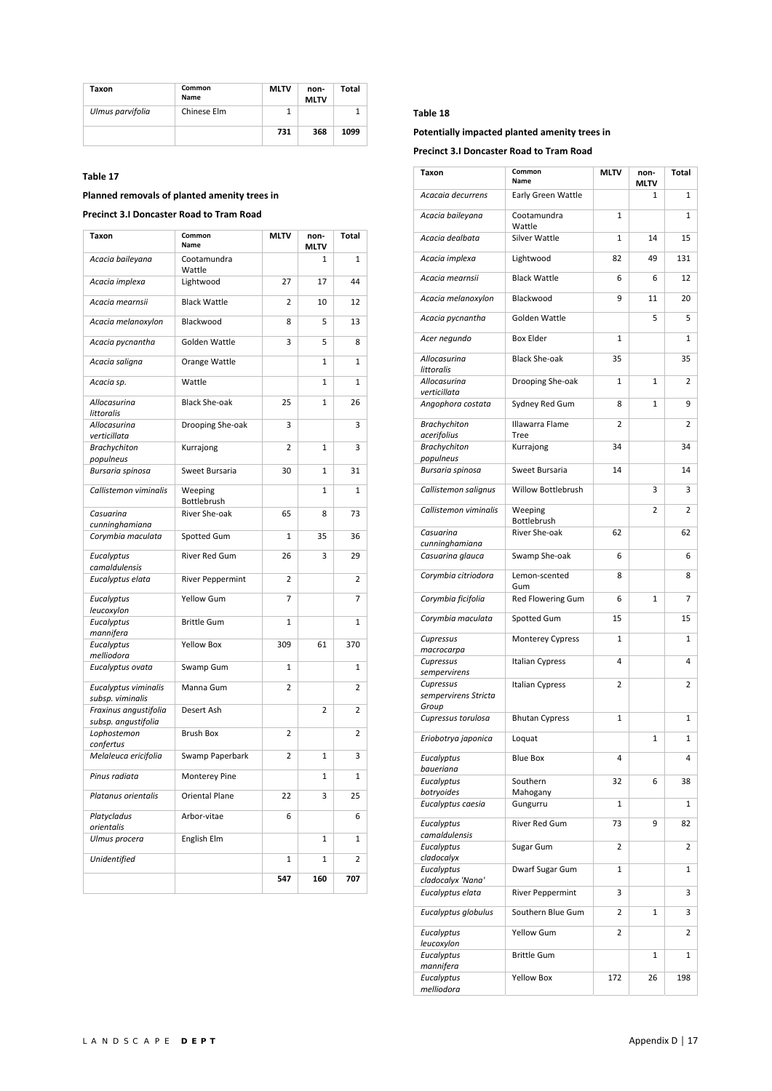| Taxon            | Common<br><b>Name</b> | <b>MLTV</b> | non-<br><b>MLTV</b> | Total |
|------------------|-----------------------|-------------|---------------------|-------|
| Ulmus parvifolia | Chinese Elm           |             |                     |       |
|                  |                       | 731         | 368                 | 1099  |

# **Planned removals of planted amenity trees in**

# **Precinct 3.I Doncaster Road to Tram Road**

| Taxon                                     | Common<br>Name          | <b>MLTV</b>    | non-<br>MLTV   | <b>Total</b>   |
|-------------------------------------------|-------------------------|----------------|----------------|----------------|
| Acacia baileyana                          | Cootamundra<br>Wattle   |                | $\mathbf{1}$   | $\mathbf{1}$   |
| Acacia implexa                            | Lightwood               | 27             | 17             | 44             |
| Acacia mearnsii                           | <b>Black Wattle</b>     | $\overline{2}$ | 10             | 12             |
| Acacia melanoxylon                        | Blackwood               | 8              | 5              | 13             |
| Acacia pycnantha                          | Golden Wattle           | 3              | 5              | 8              |
| Acacia saligna                            | Orange Wattle           |                | 1              | 1              |
| Acacia sp.                                | Wattle                  |                | $\mathbf{1}$   | $\mathbf{1}$   |
| Allocasurina<br>littoralis                | <b>Black She-oak</b>    | 25             | 1              | 26             |
| Allocasurina<br>verticillata              | Drooping She-oak        | 3              |                | 3              |
| <b>Brachychiton</b><br>populneus          | Kurrajong               | 2              | 1              | 3              |
| Bursaria spinosa                          | Sweet Bursaria          | 30             | $\mathbf{1}$   | 31             |
| Callistemon viminalis                     | Weeping<br>Bottlebrush  |                | $\mathbf{1}$   | $\mathbf{1}$   |
| Casuarina                                 | River She-oak           | 65             | 8              | 73             |
| cunninghamiana<br>Corymbia maculata       | Spotted Gum             | $\mathbf{1}$   | 35             | 36             |
| Eucalyptus                                | <b>River Red Gum</b>    | 26             | 3              | 29             |
| camaldulensis<br>Eucalyptus elata         | <b>River Peppermint</b> | $\overline{2}$ |                | 2              |
| Eucalyptus                                | Yellow Gum              | 7              |                | $\overline{7}$ |
| leucoxylon<br>Eucalyptus                  | <b>Brittle Gum</b>      | $\mathbf{1}$   |                | $\mathbf{1}$   |
| mannifera<br>Eucalyptus                   | <b>Yellow Box</b>       | 309            | 61             | 370            |
| melliodora<br>Eucalyptus ovata            | Swamp Gum               | 1              |                | $\mathbf{1}$   |
| Eucalyptus viminalis                      | Manna Gum               | $\overline{2}$ |                | 2              |
| subsp. viminalis<br>Fraxinus angustifolia | Desert Ash              |                | $\overline{2}$ | $\overline{2}$ |
| subsp. angustifolia<br>Lophostemon        | <b>Brush Box</b>        | 2              |                | 2              |
| confertus<br>Melaleuca ericifolia         | Swamp Paperbark         | $\overline{2}$ | $\mathbf{1}$   | 3              |
| Pinus radiata                             | Monterey Pine           |                | $\mathbf{1}$   | $\mathbf{1}$   |
| Platanus orientalis                       | <b>Oriental Plane</b>   | 22             | 3              | 25             |
| Platycladus                               | Arbor-vitae             | 6              |                | 6              |
| orientalis<br>Ulmus procera               | English Elm             |                | $\mathbf 1$    | $\mathbf{1}$   |
| Unidentified                              |                         | $\mathbf 1$    | 1              | 2              |
|                                           |                         | 547            | 160            | 707            |

#### **Table 18**

**Potentially impacted planted amenity trees in** 

**Precinct 3.I Doncaster Road to Tram Road** 

| Taxon                                      | Common<br>Name           | MLTV         | non-<br><b>MLTV</b> | Total |
|--------------------------------------------|--------------------------|--------------|---------------------|-------|
| Acacaia decurrens                          | Early Green Wattle       |              | 1                   | 1     |
| Acacia baileyana                           | Cootamundra<br>Wattle    | $\mathbf{1}$ |                     | 1     |
| Acacia dealbata                            | Silver Wattle            | $\mathbf{1}$ | 14                  | 15    |
| Acacia implexa                             | Lightwood                | 82           | 49                  | 131   |
| Acacia mearnsii                            | <b>Black Wattle</b>      | 6            | 6                   | 12    |
| Acacia melanoxylon                         | Blackwood                | 9            | 11                  | 20    |
| Acacia pycnantha                           | Golden Wattle            |              | 5                   | 5     |
| Acer negundo                               | <b>Box Elder</b>         | 1            |                     | 1     |
| Allocasurina<br>littoralis                 | <b>Black She-oak</b>     | 35           |                     | 35    |
| Allocasurina<br>verticillata               | Drooping She-oak         | 1            | 1                   | 2     |
| Angophora costata                          | Sydney Red Gum           | 8            | $\mathbf{1}$        | 9     |
| <b>Brachychiton</b><br>acerifolius         | Illawarra Flame<br>Tree  | 2            |                     | 2     |
| <b>Brachychiton</b>                        | Kurrajong                | 34           |                     | 34    |
| populneus                                  |                          |              |                     |       |
| Bursaria spinosa                           | Sweet Bursaria           | 14           |                     | 14    |
| Callistemon salignus                       | Willow Bottlebrush       |              | 3                   | 3     |
| Callistemon viminalis                      | Weeping<br>Bottlebrush   |              | $\overline{2}$      | 2     |
| Casuarina                                  | River She-oak            | 62           |                     | 62    |
| cunninghamiana<br>Casuarina glauca         | Swamp She-oak            | 6            |                     | 6     |
| Corymbia citriodora                        | Lemon-scented            | 8            |                     | 8     |
| Corymbia ficifolia                         | Gum<br>Red Flowering Gum | 6            | 1                   | 7     |
| Corymbia maculata                          | Spotted Gum              | 15           |                     | 15    |
| Cupressus                                  | <b>Monterey Cypress</b>  | $\mathbf{1}$ |                     | 1     |
| macrocarpa                                 |                          |              |                     |       |
| Cupressus<br>sempervirens                  | Italian Cypress          | 4            |                     | 4     |
| Cupressus<br>sempervirens Stricta<br>Group | <b>Italian Cypress</b>   | 2            |                     | 2     |
| Cupressus torulosa                         | <b>Bhutan Cypress</b>    | $\mathbf{1}$ |                     | 1     |
| Eriobotrya japonica                        | Loquat                   |              | 1                   | 1     |
| Eucalyptus<br>baueriana                    | <b>Blue Box</b>          | 4            |                     | 4     |
| Eucalyptus                                 | Southern                 | 32           | 6                   | 38    |
| botryoides                                 | Mahogany                 |              |                     |       |
| Eucalyptus caesia                          | Gungurru                 | 1            |                     | 1     |
| Eucalyptus<br>camaldulensis                | River Red Gum            | 73           | 9                   | 82    |
| Eucalyptus                                 | Sugar Gum                | 2            |                     | 2     |
| cladocalyx                                 |                          |              |                     |       |
| Eucalyptus<br>cladocalyx 'Nana'            | Dwarf Sugar Gum          | 1            |                     | 1     |
| Eucalyptus elata                           | <b>River Peppermint</b>  | 3            |                     | 3     |
| Eucalyptus globulus                        | Southern Blue Gum        | 2            | 1                   | 3     |
| Eucalyptus<br>leucoxylon                   | <b>Yellow Gum</b>        | 2            |                     | 2     |
| Eucalyptus                                 | <b>Brittle Gum</b>       |              | 1                   | 1     |
| mannifera<br>Eucalyptus                    | <b>Yellow Box</b>        | 172          | 26                  | 198   |
| melliodora                                 |                          |              |                     |       |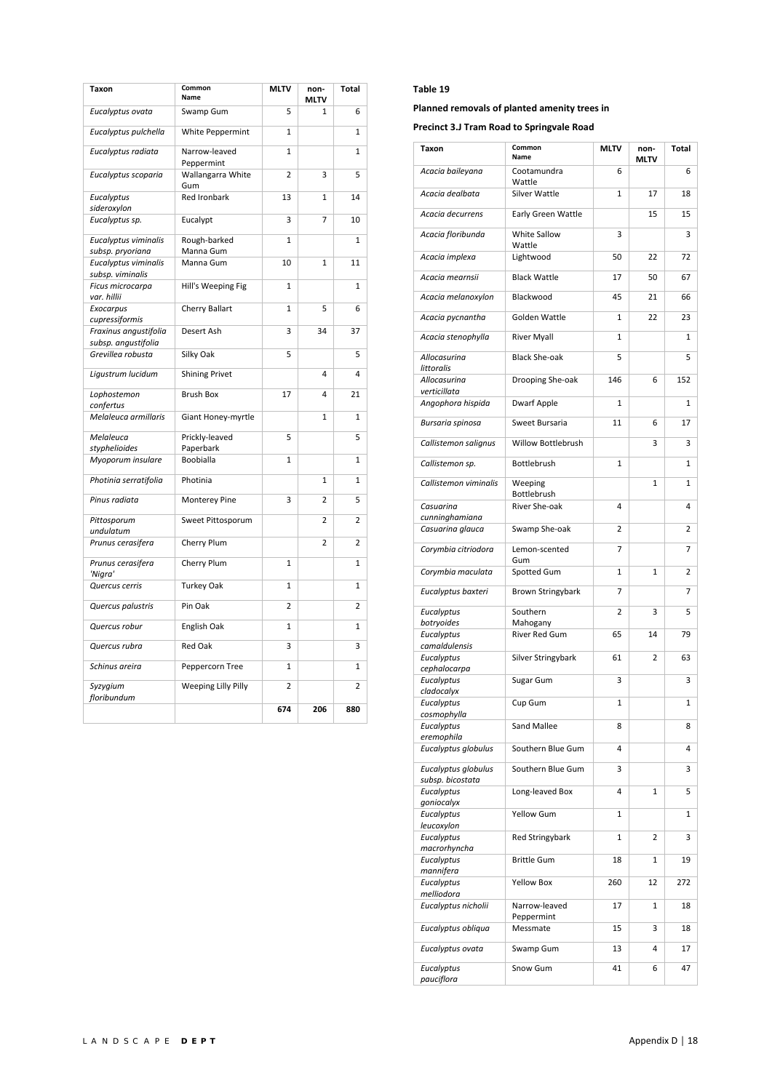| <b>Taxon</b>                                 | Common<br>Name              | <b>MLTV</b>    | non-<br>MLTV   | Total        |
|----------------------------------------------|-----------------------------|----------------|----------------|--------------|
| Eucalyptus ovata                             | Swamp Gum                   | 5              | 1              | 6            |
| Eucalyptus pulchella                         | White Peppermint            | $\mathbf{1}$   |                | 1            |
| Eucalyptus radiata                           | Narrow-leaved<br>Peppermint | $\mathbf{1}$   |                | 1            |
| Eucalyptus scoparia                          | Wallangarra White<br>Gum    | $\overline{2}$ | 3              | 5            |
| Eucalyptus<br>sideroxylon                    | Red Ironbark                | 13             | 1              | 14           |
| Eucalyptus sp.                               | Eucalypt                    | 3              | 7              | 10           |
| Eucalyptus viminalis<br>subsp. pryoriana     | Rough-barked<br>Manna Gum   | $\mathbf{1}$   |                | $\mathbf{1}$ |
| Eucalyptus viminalis<br>subsp. viminalis     | Manna Gum                   | 10             | 1              | 11           |
| Ficus microcarpa                             | Hill's Weeping Fig          | $\mathbf{1}$   |                | $\mathbf{1}$ |
| var. hillii<br>Exocarpus<br>cupressiformis   | Cherry Ballart              | $\mathbf{1}$   | 5              | 6            |
| Fraxinus angustifolia<br>subsp. angustifolia | Desert Ash                  | 3              | 34             | 37           |
| Grevillea robusta                            | Silky Oak                   | 5              |                | 5            |
| Ligustrum lucidum                            | <b>Shining Privet</b>       |                | 4              | 4            |
| Lophostemon<br>confertus                     | <b>Brush Box</b>            | 17             | 4              | 21           |
| Melaleuca armillaris                         | Giant Honey-myrtle          |                | 1              | 1            |
| Melaleuca<br>styphelioides                   | Prickly-leaved<br>Paperbark | 5              |                | 5            |
| Myoporum insulare                            | Boobialla                   | $\mathbf{1}$   |                | 1            |
| Photinia serratifolia                        | Photinia                    |                | $\mathbf{1}$   | $\mathbf{1}$ |
| Pinus radiata                                | Monterey Pine               | 3              | 2              | 5            |
| Pittosporum<br>undulatum                     | Sweet Pittosporum           |                | 2              | 2            |
| Prunus cerasifera                            | Cherry Plum                 |                | $\overline{2}$ | 2            |
| Prunus cerasifera<br>'Nigra'                 | Cherry Plum                 | $\mathbf{1}$   |                | 1            |
| Quercus cerris                               | <b>Turkey Oak</b>           | $\mathbf{1}$   |                | 1            |
| Quercus palustris                            | Pin Oak                     | $\overline{2}$ |                | 2            |
| Quercus robur                                | English Oak                 | 1              |                | 1            |
| Quercus rubra                                | Red Oak                     | 3              |                | 3            |
| Schinus areira                               | Peppercorn Tree             | $\mathbf{1}$   |                | 1            |
| Syzygium<br>floribundum                      | Weeping Lilly Pilly         | $\overline{2}$ |                | 2            |
|                                              |                             | 674            | 206            | 880          |

**Planned removals of planted amenity trees in** 

**Precinct 3.J Tram Road to Springvale Road** 

| Taxon                                   | Common<br>Name                 | <b>MLTV</b>  | non-<br>MLTV | Total        |
|-----------------------------------------|--------------------------------|--------------|--------------|--------------|
| Acacia baileyana                        | Cootamundra<br>Wattle          | 6            |              | 6            |
| Acacia dealbata                         | Silver Wattle                  | 1            | 17           | 18           |
| Acacia decurrens                        | Early Green Wattle             |              | 15           | 15           |
| Acacia floribunda                       | White Sallow<br>Wattle         | 3            |              | 3            |
| Acacia implexa                          | Lightwood                      | 50           | 22           | 72           |
| Acacia mearnsii                         | <b>Black Wattle</b>            | 17           | 50           | 67           |
| Acacia melanoxylon                      | Blackwood                      | 45           | 21           | 66           |
| Acacia pycnantha                        | Golden Wattle                  | 1            | 22           | 23           |
| Acacia stenophylla                      | <b>River Myall</b>             | 1            |              | 1            |
| Allocasurina<br>littoralis              | <b>Black She-oak</b>           | 5            |              | 5            |
| Allocasurina                            | Drooping She-oak               | 146          | 6            | 152          |
| verticillata<br>Angophora hispida       | <b>Dwarf Apple</b>             | $\mathbf{1}$ |              | 1            |
| Bursaria spinosa                        | Sweet Bursaria                 | 11           | 6            | 17           |
| Callistemon salignus                    | <b>Willow Bottlebrush</b>      |              | 3            | 3            |
| Callistemon sp.                         | Bottlebrush                    | 1            |              | $\mathbf{1}$ |
| Callistemon viminalis                   | Weeping<br>Bottlebrush         |              | 1            | 1            |
| Casuarina                               | River She-oak                  | 4            |              | 4            |
| cunninghamiana                          |                                | 2            |              | 2            |
| Casuarina glauca                        | Swamp She-oak<br>Lemon-scented | 7            |              | 7            |
| Corymbia citriodora                     | Gum                            |              |              |              |
| Corymbia maculata                       | Spotted Gum                    | 1            | 1            | 2            |
| Eucalyptus baxteri                      | Brown Stringybark              | 7            |              | 7            |
| Eucalyptus<br>botryoides                | Southern<br>Mahogany           | 2            | 3            | 5            |
| Eucalyptus                              | River Red Gum                  | 65           | 14           | 79           |
| camaldulensis<br>Eucalyptus             | Silver Stringybark             | 61           | 2            | 63           |
| cephalocarpa<br>Eucalyptus              | Sugar Gum                      | 3            |              | 3            |
| cladocalyx                              |                                |              |              |              |
| Eucalyptus<br>cosmophylla               | Cup Gum                        | 1            |              | $\mathbf 1$  |
| Eucalyptus<br>eremophila                | Sand Mallee                    | 8            |              | 8            |
| Eucalyptus globulus                     | Southern Blue Gum              | 4            |              | 4            |
| Eucalyptus globulus<br>subsp. bicostata | Southern Blue Gum              | 3            |              | 3            |
| Eucalyptus<br>goniocalyx                | Long-leaved Box                | 4            | 1            | 5            |
| Eucalyptus<br>leucoxylon                | <b>Yellow Gum</b>              | 1            |              | 1            |
| Eucalyptus<br>macrorhyncha              | <b>Red Stringybark</b>         | 1            | 2            | 3            |
| Eucalyptus<br>mannifera                 | <b>Brittle Gum</b>             | 18           | 1            | 19           |
| Eucalyptus<br>melliodora                | <b>Yellow Box</b>              | 260          | 12           | 272          |
| Eucalyptus nicholii                     | Narrow-leaved                  | 17           | 1            | 18           |
| Eucalyptus obliqua                      | Peppermint<br>Messmate         | 15           | 3            | 18           |
| Eucalyptus ovata                        | Swamp Gum                      | 13           | 4            | 17           |
| Eucalyptus<br>pauciflora                | Snow Gum                       | 41           | 6            | 47           |
|                                         |                                |              |              |              |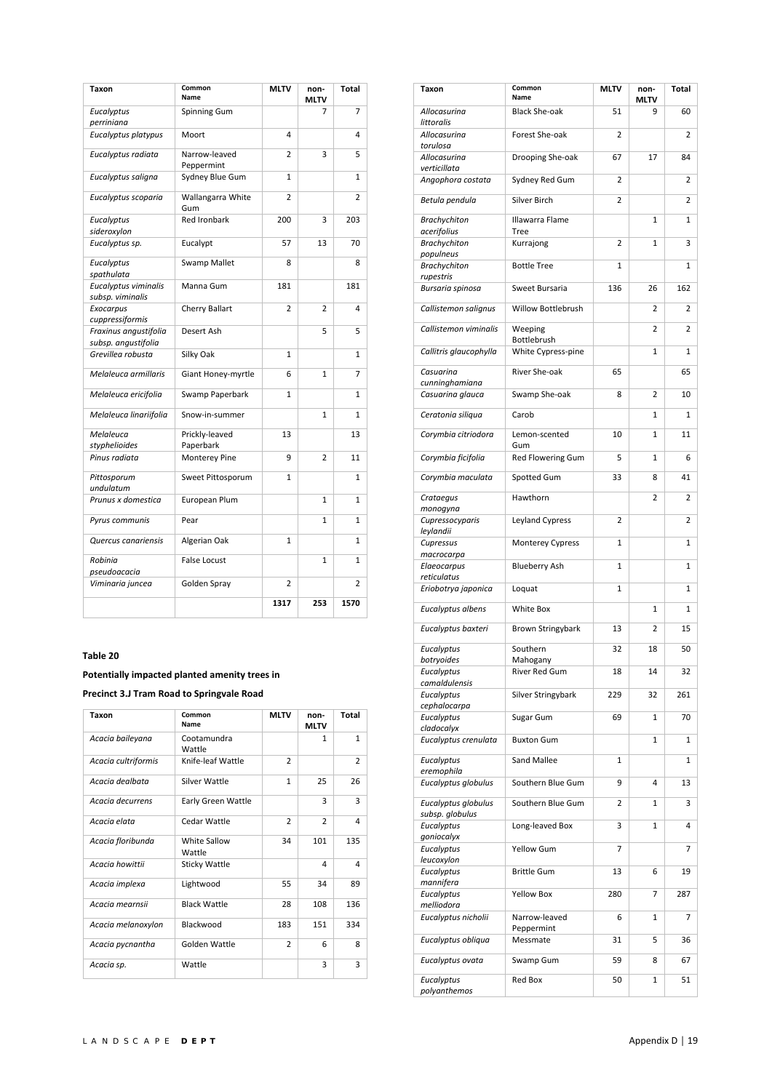| Taxon                                        | Common<br>Name              | <b>MLTV</b>    | non-<br><b>MLTV</b> | Total        |
|----------------------------------------------|-----------------------------|----------------|---------------------|--------------|
| Eucalyptus<br>perriniana                     | Spinning Gum                |                | 7                   | 7            |
| Eucalyptus platypus                          | Moort                       | 4              |                     | 4            |
| Eucalyptus radiata                           | Narrow-leaved<br>Peppermint | 2              | 3                   | 5            |
| Eucalyptus saligna                           | Sydney Blue Gum             | $\overline{1}$ |                     | $\mathbf{1}$ |
| Eucalyptus scoparia                          | Wallangarra White<br>Gum    | 2              |                     | 2            |
| Eucalyptus<br>sideroxylon                    | <b>Red Ironbark</b>         | 200            | 3                   | 203          |
| Eucalyptus sp.                               | Eucalypt                    | 57             | 13                  | 70           |
| Eucalyptus<br>spathulata                     | <b>Swamp Mallet</b>         | 8              |                     | 8            |
| Eucalyptus viminalis<br>subsp. viminalis     | Manna Gum                   | 181            |                     | 181          |
| Exocarpus<br>cuppressiformis                 | Cherry Ballart              | $\overline{2}$ | $\overline{2}$      | 4            |
| Fraxinus angustifolia<br>subsp. angustifolia | Desert Ash                  |                | 5                   | 5            |
| Grevillea robusta                            | Silky Oak                   | 1              |                     | 1            |
| Melaleuca armillaris                         | Giant Honey-myrtle          | 6              | $\mathbf{1}$        | 7            |
| Melaleuca ericifolia                         | Swamp Paperbark             | 1              |                     | 1            |
| Melaleuca linariifolia                       | Snow-in-summer              |                | $\mathbf{1}$        | $\mathbf{1}$ |
| Melaleuca<br>styphelioides                   | Prickly-leaved<br>Paperbark | 13             |                     | 13           |
| Pinus radiata                                | Monterey Pine               | 9              | $\overline{2}$      | 11           |
| Pittosporum<br>undulatum                     | Sweet Pittosporum           | $\mathbf{1}$   |                     | $\mathbf{1}$ |
| Prunus x domestica                           | European Plum               |                | $\mathbf{1}$        | $\mathbf{1}$ |
| Pyrus communis                               | Pear                        |                | $\mathbf{1}$        | 1            |
| Quercus canariensis                          | Algerian Oak                | $\mathbf{1}$   |                     | $\mathbf{1}$ |
| Robinia<br>pseudoacacia                      | <b>False Locust</b>         |                | $\mathbf{1}$        | $\mathbf{1}$ |
| Viminaria juncea                             | Golden Spray                | $\overline{2}$ |                     | 2            |
|                                              |                             | 1317           | 253                 | 1570         |

# **Potentially impacted planted amenity trees in**

**Precinct 3.J Tram Road to Springvale Road** 

| Taxon               | Common<br>Name         | <b>MLTV</b>    | non-<br><b>MLTV</b> | Total          |
|---------------------|------------------------|----------------|---------------------|----------------|
| Acacia baileyana    | Cootamundra<br>Wattle  |                | 1                   | $\mathbf{1}$   |
| Acacia cultriformis | Knife-leaf Wattle      | $\overline{2}$ |                     | $\overline{2}$ |
| Acacia dealbata     | Silver Wattle          | $\mathbf{1}$   | 25                  | 26             |
| Acacia decurrens    | Early Green Wattle     |                | 3                   | 3              |
| Acacia elata        | Cedar Wattle           | $\overline{2}$ | $\overline{2}$      | 4              |
| Acacia floribunda   | White Sallow<br>Wattle | 34             | 101                 | 135            |
| Acacia howittii     | <b>Sticky Wattle</b>   |                | 4                   | 4              |
| Acacia implexa      | Lightwood              | 55             | 34                  | 89             |
| Acacia mearnsii     | <b>Black Wattle</b>    | 28             | 108                 | 136            |
| Acacia melanoxylon  | Blackwood              | 183            | 151                 | 334            |
| Acacia pycnantha    | Golden Wattle          | $\overline{2}$ | 6                   | 8              |
| Acacia sp.          | Wattle                 |                | 3                   | 3              |

| Taxon                              | Common<br>Name              | <b>MLTV</b>    | non-<br>MLTV   | Total          |
|------------------------------------|-----------------------------|----------------|----------------|----------------|
| Allocasurina<br>littoralis         | <b>Black She-oak</b>        | 51             | 9              | 60             |
| Allocasurina<br>torulosa           | Forest She-oak              | $\overline{2}$ |                | $\overline{2}$ |
| Allocasurina<br>verticillata       | Drooping She-oak            | 67             | 17             | 84             |
| Angophora costata                  | Sydney Red Gum              | $\overline{2}$ |                | 2              |
| Betula pendula                     | Silver Birch                | 2              |                | 2              |
| <b>Brachychiton</b><br>acerifolius | Illawarra Flame<br>Tree     |                | 1              | 1              |
| <b>Brachychiton</b><br>populneus   | Kurrajong                   | 2              | 1              | 3              |
| <b>Brachychiton</b><br>rupestris   | <b>Bottle Tree</b>          | 1              |                | 1              |
| Bursaria spinosa                   | Sweet Bursaria              | 136            | 26             | 162            |
| Callistemon salignus               | Willow Bottlebrush          |                | 2              | 2              |
| Callistemon viminalis              | Weeping<br>Bottlebrush      |                | $\overline{2}$ | $\overline{2}$ |
| Callitris glaucophylla             | White Cypress-pine          |                | 1              | 1              |
| Casuarina<br>cunninghamiana        | River She-oak               | 65             |                | 65             |
| Casuarina glauca                   | Swamp She-oak               | 8              | $\overline{2}$ | 10             |
| Ceratonia siliqua                  | Carob                       |                | 1              | 1              |
| Corymbia citriodora                | Lemon-scented<br>Gum        | 10             | 1              | 11             |
| Corymbia ficifolia                 | Red Flowering Gum           | 5              | 1              | 6              |
| Corymbia maculata                  | Spotted Gum                 | 33             | 8              | 41             |
| Crataegus<br>monogyna              | Hawthorn                    |                | 2              | 2              |
| Cupressocyparis<br>leylandii       | Leyland Cypress             | $\overline{2}$ |                | 2              |
| Cupressus                          | Monterey Cypress            | 1              |                | 1              |
| macrocarpa<br>Elaeocarpus          | <b>Blueberry Ash</b>        | 1              |                | 1              |
| reticulatus<br>Eriobotrya japonica | Loquat                      | $\mathbf{1}$   |                | 1              |
| Eucalyptus albens                  | White Box                   |                | 1              | 1              |
| Eucalyptus baxteri                 | Brown Stringybark           | 13             | 2              | 15             |
| Eucalyptus                         | Southern                    | 32             | 18             | 50             |
| botryoides<br>Eucalyptus           | Mahogany<br>River Red Gum   | 18             | 14             | 32             |
| camaldulensis<br>Eucalyptus        | Silver Stringybark          | 229            | 32             | 261            |
| cephalocarpa<br>Eucalyptus         | Sugar Gum                   | 69             | 1              | 70             |
| cladocalyx<br>Eucalyptus crenulata | <b>Buxton Gum</b>           |                | 1              | 1              |
| Eucalyptus                         | Sand Mallee                 | 1              |                | 1              |
| eremophila<br>Eucalyptus globulus  | Southern Blue Gum           | 9              | 4              | 13             |
| Eucalyptus globulus                | Southern Blue Gum           | 2              | 1              | 3              |
| subsp. globulus<br>Eucalyptus      | Long-leaved Box             | 3              | 1              | 4              |
| goniocalyx<br>Eucalyptus           | Yellow Gum                  | 7              |                | 7              |
| leucoxylon<br>Eucalyptus           | <b>Brittle Gum</b>          | 13             | 6              | 19             |
| mannifera<br>Eucalyptus            | <b>Yellow Box</b>           | 280            | 7              | 287            |
| melliodora                         |                             |                |                |                |
| Eucalyptus nicholii                | Narrow-leaved<br>Peppermint | 6              | 1              | 7              |
| Eucalyptus obliqua                 | Messmate                    | 31             | 5              | 36             |
| Eucalyptus ovata                   | Swamp Gum                   | 59             | 8              | 67             |
| Eucalyptus<br>polyanthemos         | Red Box                     | 50             | 1              | 51             |